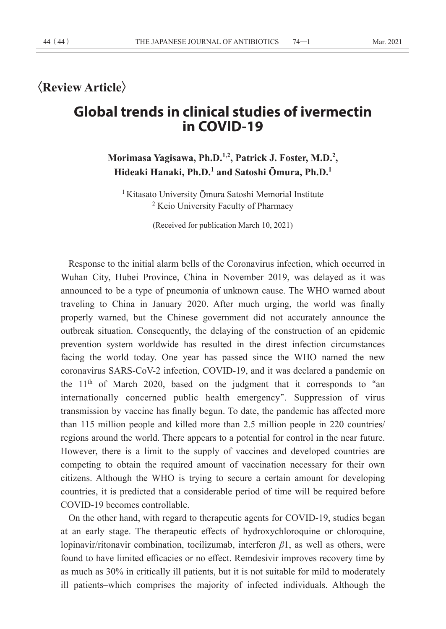# **〈Review Article〉**

# **Global trends in clinical studies of ivermectin in COVID-19**

# **Morimasa Yagisawa, Ph.D.1,2, Patrick J. Foster, M.D.2 , Hideaki Hanaki, Ph.D.1 and Satoshi Ōmura, Ph.D.<sup>1</sup>**

<sup>1</sup> Kitasato University Ōmura Satoshi Memorial Institute <sup>2</sup> Keio University Faculty of Pharmacy

(Received for publication March 10, 2021)

Response to the initial alarm bells of the Coronavirus infection, which occurred in Wuhan City, Hubei Province, China in November 2019, was delayed as it was announced to be a type of pneumonia of unknown cause. The WHO warned about traveling to China in January 2020. After much urging, the world was finally properly warned, but the Chinese government did not accurately announce the outbreak situation. Consequently, the delaying of the construction of an epidemic prevention system worldwide has resulted in the direst infection circumstances facing the world today. One year has passed since the WHO named the new coronavirus SARS-CoV-2 infection, COVID-19, and it was declared a pandemic on the 11th of March 2020, based on the judgment that it corresponds to **"**an internationally concerned public health emergency**"**. Suppression of virus transmission by vaccine has finally begun. To date, the pandemic has affected more than 115 million people and killed more than 2.5 million people in 220 countries/ regions around the world. There appears to a potential for control in the near future. However, there is a limit to the supply of vaccines and developed countries are competing to obtain the required amount of vaccination necessary for their own citizens. Although the WHO is trying to secure a certain amount for developing countries, it is predicted that a considerable period of time will be required before COVID-19 becomes controllable.

On the other hand, with regard to therapeutic agents for COVID-19, studies began at an early stage. The therapeutic effects of hydroxychloroquine or chloroquine, lopinavir/ritonavir combination, tocilizumab, interferon *β*1, as well as others, were found to have limited efficacies or no effect. Remdesivir improves recovery time by as much as 30% in critically ill patients, but it is not suitable for mild to moderately ill patients–which comprises the majority of infected individuals. Although the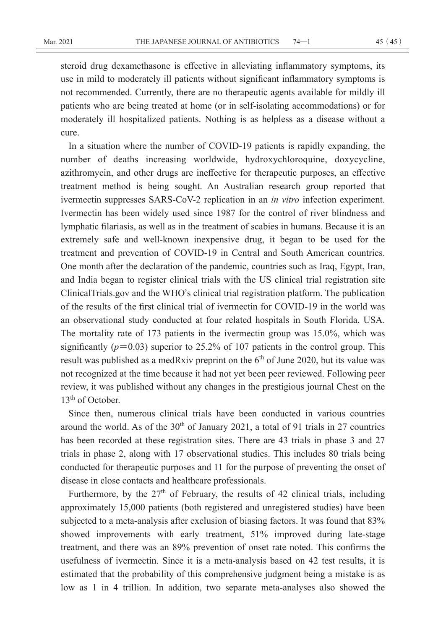steroid drug dexamethasone is effective in alleviating inflammatory symptoms, its use in mild to moderately ill patients without significant inflammatory symptoms is not recommended. Currently, there are no therapeutic agents available for mildly ill patients who are being treated at home (or in self-isolating accommodations) or for moderately ill hospitalized patients. Nothing is as helpless as a disease without a cure.

In a situation where the number of COVID-19 patients is rapidly expanding, the number of deaths increasing worldwide, hydroxychloroquine, doxycycline, azithromycin, and other drugs are ineffective for therapeutic purposes, an effective treatment method is being sought. An Australian research group reported that ivermectin suppresses SARS-CoV-2 replication in an *in vitro* infection experiment. Ivermectin has been widely used since 1987 for the control of river blindness and lymphatic filariasis, as well as in the treatment of scabies in humans. Because it is an extremely safe and well-known inexpensive drug, it began to be used for the treatment and prevention of COVID-19 in Central and South American countries. One month after the declaration of the pandemic, countries such as Iraq, Egypt, Iran, and India began to register clinical trials with the US clinical trial registration site ClinicalTrials.gov and the WHO**'**s clinical trial registration platform. The publication of the results of the first clinical trial of ivermectin for COVID-19 in the world was an observational study conducted at four related hospitals in South Florida, USA. The mortality rate of 173 patients in the ivermectin group was 15.0%, which was significantly  $(p=0.03)$  superior to 25.2% of 107 patients in the control group. This result was published as a medRxiv preprint on the  $6<sup>th</sup>$  of June 2020, but its value was not recognized at the time because it had not yet been peer reviewed. Following peer review, it was published without any changes in the prestigious journal Chest on the 13<sup>th</sup> of October.

Since then, numerous clinical trials have been conducted in various countries around the world. As of the  $30<sup>th</sup>$  of January 2021, a total of 91 trials in 27 countries has been recorded at these registration sites. There are 43 trials in phase 3 and 27 trials in phase 2, along with 17 observational studies. This includes 80 trials being conducted for therapeutic purposes and 11 for the purpose of preventing the onset of disease in close contacts and healthcare professionals.

Furthermore, by the  $27<sup>th</sup>$  of February, the results of 42 clinical trials, including approximately 15,000 patients (both registered and unregistered studies) have been subjected to a meta-analysis after exclusion of biasing factors. It was found that 83% showed improvements with early treatment, 51% improved during late-stage treatment, and there was an 89% prevention of onset rate noted. This confirms the usefulness of ivermectin. Since it is a meta-analysis based on 42 test results, it is estimated that the probability of this comprehensive judgment being a mistake is as low as 1 in 4 trillion. In addition, two separate meta-analyses also showed the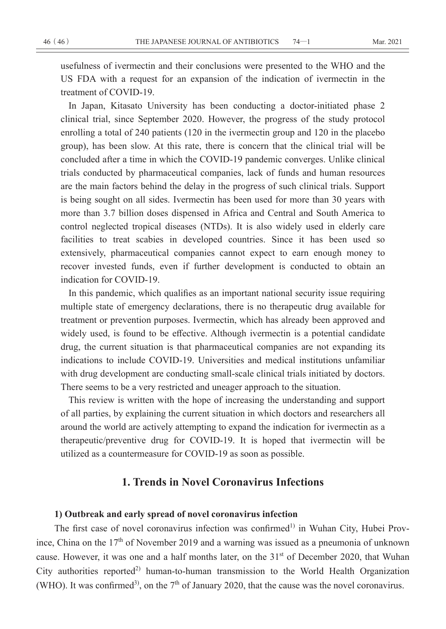usefulness of ivermectin and their conclusions were presented to the WHO and the US FDA with a request for an expansion of the indication of ivermectin in the treatment of COVID-19.

In Japan, Kitasato University has been conducting a doctor-initiated phase 2 clinical trial, since September 2020. However, the progress of the study protocol enrolling a total of 240 patients (120 in the ivermectin group and 120 in the placebo group), has been slow. At this rate, there is concern that the clinical trial will be concluded after a time in which the COVID-19 pandemic converges. Unlike clinical trials conducted by pharmaceutical companies, lack of funds and human resources are the main factors behind the delay in the progress of such clinical trials. Support is being sought on all sides. Ivermectin has been used for more than 30 years with more than 3.7 billion doses dispensed in Africa and Central and South America to control neglected tropical diseases (NTDs). It is also widely used in elderly care facilities to treat scabies in developed countries. Since it has been used so extensively, pharmaceutical companies cannot expect to earn enough money to recover invested funds, even if further development is conducted to obtain an indication for COVID-19.

In this pandemic, which qualifies as an important national security issue requiring multiple state of emergency declarations, there is no therapeutic drug available for treatment or prevention purposes. Ivermectin, which has already been approved and widely used, is found to be effective. Although ivermectin is a potential candidate drug, the current situation is that pharmaceutical companies are not expanding its indications to include COVID-19. Universities and medical institutions unfamiliar with drug development are conducting small-scale clinical trials initiated by doctors. There seems to be a very restricted and uneager approach to the situation.

This review is written with the hope of increasing the understanding and support of all parties, by explaining the current situation in which doctors and researchers all around the world are actively attempting to expand the indication for ivermectin as a therapeutic/preventive drug for COVID-19. It is hoped that ivermectin will be utilized as a countermeasure for COVID-19 as soon as possible.

# **1. Trends in Novel Coronavirus Infections**

### **1) Outbreak and early spread of novel coronavirus infection**

The first case of novel coronavirus infection was confirmed<sup>1)</sup> in Wuhan City, Hubei Province, China on the  $17<sup>th</sup>$  of November 2019 and a warning was issued as a pneumonia of unknown cause. However, it was one and a half months later, on the 31<sup>st</sup> of December 2020, that Wuhan City authorities reported<sup>2)</sup> human-to-human transmission to the World Health Organization (WHO). It was confirmed<sup>3)</sup>, on the  $7<sup>th</sup>$  of January 2020, that the cause was the novel coronavirus.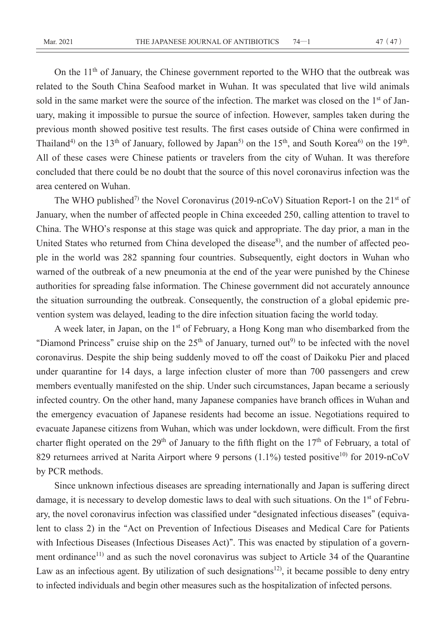On the 11<sup>th</sup> of January, the Chinese government reported to the WHO that the outbreak was related to the South China Seafood market in Wuhan. It was speculated that live wild animals sold in the same market were the source of the infection. The market was closed on the 1<sup>st</sup> of January, making it impossible to pursue the source of infection. However, samples taken during the previous month showed positive test results. The first cases outside of China were confirmed in Thailand<sup>4)</sup> on the 13<sup>th</sup> of January, followed by Japan<sup>5)</sup> on the 15<sup>th</sup>, and South Korea<sup>6)</sup> on the 19<sup>th</sup>. All of these cases were Chinese patients or travelers from the city of Wuhan. It was therefore concluded that there could be no doubt that the source of this novel coronavirus infection was the area centered on Wuhan.

The WHO published<sup>7)</sup> the Novel Coronavirus (2019-nCoV) Situation Report-1 on the  $21<sup>st</sup>$  of January, when the number of affected people in China exceeded 250, calling attention to travel to China. The WHO**'**s response at this stage was quick and appropriate. The day prior, a man in the United States who returned from China developed the disease<sup>8)</sup>, and the number of affected people in the world was 282 spanning four countries. Subsequently, eight doctors in Wuhan who warned of the outbreak of a new pneumonia at the end of the year were punished by the Chinese authorities for spreading false information. The Chinese government did not accurately announce the situation surrounding the outbreak. Consequently, the construction of a global epidemic prevention system was delayed, leading to the dire infection situation facing the world today.

A week later, in Japan, on the 1<sup>st</sup> of February, a Hong Kong man who disembarked from the "Diamond Princess" cruise ship on the 25<sup>th</sup> of January, turned out<sup>9</sup> to be infected with the novel coronavirus. Despite the ship being suddenly moved to off the coast of Daikoku Pier and placed under quarantine for 14 days, a large infection cluster of more than 700 passengers and crew members eventually manifested on the ship. Under such circumstances, Japan became a seriously infected country. On the other hand, many Japanese companies have branch offices in Wuhan and the emergency evacuation of Japanese residents had become an issue. Negotiations required to evacuate Japanese citizens from Wuhan, which was under lockdown, were difficult. From the first charter flight operated on the 29<sup>th</sup> of January to the fifth flight on the  $17<sup>th</sup>$  of February, a total of 829 returnees arrived at Narita Airport where 9 persons  $(1.1\%)$  tested positive<sup>10</sup> for 2019-nCoV by PCR methods.

Since unknown infectious diseases are spreading internationally and Japan is suffering direct damage, it is necessary to develop domestic laws to deal with such situations. On the 1<sup>st</sup> of February, the novel coronavirus infection was classified under **"**designated infectious diseases**"** (equivalent to class 2) in the **"**Act on Prevention of Infectious Diseases and Medical Care for Patients with Infectious Diseases (Infectious Diseases Act)**"**. This was enacted by stipulation of a government ordinance<sup>11)</sup> and as such the novel coronavirus was subject to Article 34 of the Quarantine Law as an infectious agent. By utilization of such designations<sup>12</sup>, it became possible to deny entry to infected individuals and begin other measures such as the hospitalization of infected persons.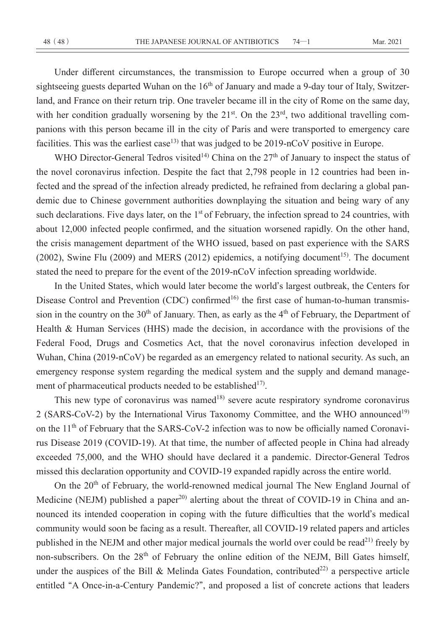Under different circumstances, the transmission to Europe occurred when a group of 30 sightseeing guests departed Wuhan on the 16<sup>th</sup> of January and made a 9-day tour of Italy, Switzerland, and France on their return trip. One traveler became ill in the city of Rome on the same day, with her condition gradually worsening by the  $21<sup>st</sup>$ . On the  $23<sup>rd</sup>$ , two additional travelling companions with this person became ill in the city of Paris and were transported to emergency care facilities. This was the earliest case<sup>13)</sup> that was judged to be  $2019$ -nCoV positive in Europe.

WHO Director-General Tedros visited<sup>14)</sup> China on the  $27<sup>th</sup>$  of January to inspect the status of the novel coronavirus infection. Despite the fact that 2,798 people in 12 countries had been infected and the spread of the infection already predicted, he refrained from declaring a global pandemic due to Chinese government authorities downplaying the situation and being wary of any such declarations. Five days later, on the 1<sup>st</sup> of February, the infection spread to 24 countries, with about 12,000 infected people confirmed, and the situation worsened rapidly. On the other hand, the crisis management department of the WHO issued, based on past experience with the SARS (2002), Swine Flu (2009) and MERS (2012) epidemics, a notifying document<sup>15)</sup>. The document stated the need to prepare for the event of the 2019-nCoV infection spreading worldwide.

In the United States, which would later become the world**'**s largest outbreak, the Centers for Disease Control and Prevention (CDC) confirmed<sup>16)</sup> the first case of human-to-human transmission in the country on the 30<sup>th</sup> of January. Then, as early as the 4<sup>th</sup> of February, the Department of Health & Human Services (HHS) made the decision, in accordance with the provisions of the Federal Food, Drugs and Cosmetics Act, that the novel coronavirus infection developed in Wuhan, China (2019-nCoV) be regarded as an emergency related to national security. As such, an emergency response system regarding the medical system and the supply and demand management of pharmaceutical products needed to be established<sup>17)</sup>.

This new type of coronavirus was named<sup>18)</sup> severe acute respiratory syndrome coronavirus 2 (SARS-CoV-2) by the International Virus Taxonomy Committee, and the WHO announced<sup>19)</sup> on the 11<sup>th</sup> of February that the SARS-CoV-2 infection was to now be officially named Coronavirus Disease 2019 (COVID-19). At that time, the number of affected people in China had already exceeded 75,000, and the WHO should have declared it a pandemic. Director-General Tedros missed this declaration opportunity and COVID-19 expanded rapidly across the entire world.

On the 20<sup>th</sup> of February, the world-renowned medical journal The New England Journal of Medicine (NEJM) published a paper<sup>20)</sup> alerting about the threat of COVID-19 in China and announced its intended cooperation in coping with the future difficulties that the world**'**s medical community would soon be facing as a result. Thereafter, all COVID-19 related papers and articles published in the NEJM and other major medical journals the world over could be read<sup>21)</sup> freely by non-subscribers. On the 28<sup>th</sup> of February the online edition of the NEJM, Bill Gates himself, under the auspices of the Bill & Melinda Gates Foundation, contributed<sup>22)</sup> a perspective article entitled **"**A Once-in-a-Century Pandemic?**"**, and proposed a list of concrete actions that leaders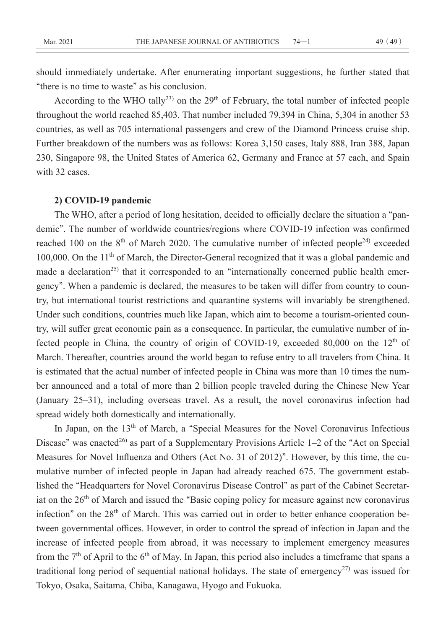should immediately undertake. After enumerating important suggestions, he further stated that **"**there is no time to waste**"** as his conclusion.

According to the WHO tally<sup>23)</sup> on the  $29<sup>th</sup>$  of February, the total number of infected people throughout the world reached 85,403. That number included 79,394 in China, 5,304 in another 53 countries, as well as 705 international passengers and crew of the Diamond Princess cruise ship. Further breakdown of the numbers was as follows: Korea 3,150 cases, Italy 888, Iran 388, Japan 230, Singapore 98, the United States of America 62, Germany and France at 57 each, and Spain with 32 cases.

### **2) COVID-19 pandemic**

The WHO, after a period of long hesitation, decided to officially declare the situation a **"**pandemic**"**. The number of worldwide countries/regions where COVID-19 infection was confirmed reached 100 on the  $8<sup>th</sup>$  of March 2020. The cumulative number of infected people<sup>24)</sup> exceeded 100,000. On the  $11<sup>th</sup>$  of March, the Director-General recognized that it was a global pandemic and made a declaration<sup>25)</sup> that it corresponded to an "internationally concerned public health emergency**"**. When a pandemic is declared, the measures to be taken will differ from country to country, but international tourist restrictions and quarantine systems will invariably be strengthened. Under such conditions, countries much like Japan, which aim to become a tourism-oriented country, will suffer great economic pain as a consequence. In particular, the cumulative number of infected people in China, the country of origin of COVID-19, exceeded 80,000 on the 12<sup>th</sup> of March. Thereafter, countries around the world began to refuse entry to all travelers from China. It is estimated that the actual number of infected people in China was more than 10 times the number announced and a total of more than 2 billion people traveled during the Chinese New Year (January 25–31), including overseas travel. As a result, the novel coronavirus infection had spread widely both domestically and internationally.

In Japan, on the 13<sup>th</sup> of March, a "Special Measures for the Novel Coronavirus Infectious Disease" was enacted<sup>26)</sup> as part of a Supplementary Provisions Article 1–2 of the "Act on Special" Measures for Novel Influenza and Others (Act No. 31 of 2012)**"**. However, by this time, the cumulative number of infected people in Japan had already reached 675. The government established the **"**Headquarters for Novel Coronavirus Disease Control**"** as part of the Cabinet Secretariat on the 26th of March and issued the **"**Basic coping policy for measure against new coronavirus infection" on the 28<sup>th</sup> of March. This was carried out in order to better enhance cooperation between governmental offices. However, in order to control the spread of infection in Japan and the increase of infected people from abroad, it was necessary to implement emergency measures from the  $7<sup>th</sup>$  of April to the  $6<sup>th</sup>$  of May. In Japan, this period also includes a timeframe that spans a traditional long period of sequential national holidays. The state of emergency<sup>27)</sup> was issued for Tokyo, Osaka, Saitama, Chiba, Kanagawa, Hyogo and Fukuoka.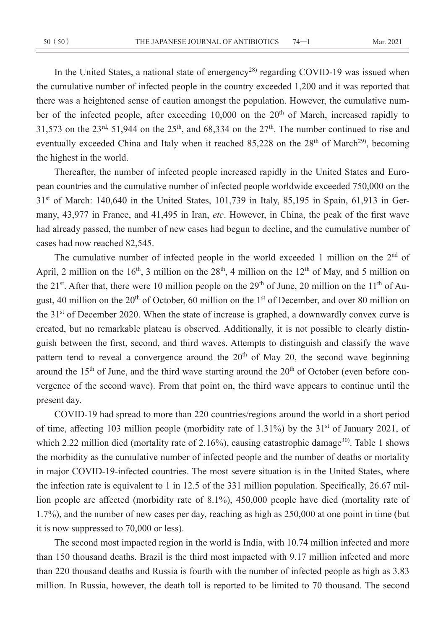In the United States, a national state of emergency<sup>28)</sup> regarding COVID-19 was issued when the cumulative number of infected people in the country exceeded 1,200 and it was reported that there was a heightened sense of caution amongst the population. However, the cumulative number of the infected people, after exceeding  $10,000$  on the  $20<sup>th</sup>$  of March, increased rapidly to 31,573 on the 23<sup>rd,</sup> 51,944 on the 25<sup>th</sup>, and 68,334 on the 27<sup>th</sup>. The number continued to rise and eventually exceeded China and Italy when it reached  $85,228$  on the  $28<sup>th</sup>$  of March<sup>29</sup>, becoming the highest in the world.

Thereafter, the number of infected people increased rapidly in the United States and European countries and the cumulative number of infected people worldwide exceeded 750,000 on the  $31<sup>st</sup>$  of March: 140,640 in the United States, 101,739 in Italy, 85,195 in Spain, 61,913 in Germany, 43,977 in France, and 41,495 in Iran, *etc*. However, in China, the peak of the first wave had already passed, the number of new cases had begun to decline, and the cumulative number of cases had now reached 82,545.

The cumulative number of infected people in the world exceeded 1 million on the  $2<sup>nd</sup>$  of April, 2 million on the 16<sup>th</sup>, 3 million on the 28<sup>th</sup>, 4 million on the 12<sup>th</sup> of May, and 5 million on the 21<sup>st</sup>. After that, there were 10 million people on the 29<sup>th</sup> of June, 20 million on the 11<sup>th</sup> of August, 40 million on the  $20<sup>th</sup>$  of October, 60 million on the 1<sup>st</sup> of December, and over 80 million on the 31<sup>st</sup> of December 2020. When the state of increase is graphed, a downwardly convex curve is created, but no remarkable plateau is observed. Additionally, it is not possible to clearly distinguish between the first, second, and third waves. Attempts to distinguish and classify the wave pattern tend to reveal a convergence around the  $20<sup>th</sup>$  of May 20, the second wave beginning around the  $15<sup>th</sup>$  of June, and the third wave starting around the  $20<sup>th</sup>$  of October (even before convergence of the second wave). From that point on, the third wave appears to continue until the present day.

COVID-19 had spread to more than 220 countries/regions around the world in a short period of time, affecting 103 million people (morbidity rate of 1.31%) by the 31<sup>st</sup> of January 2021, of which 2.22 million died (mortality rate of 2.16%), causing catastrophic damage<sup>30</sup>. Table 1 shows the morbidity as the cumulative number of infected people and the number of deaths or mortality in major COVID-19-infected countries. The most severe situation is in the United States, where the infection rate is equivalent to 1 in 12.5 of the 331 million population. Specifically, 26.67 million people are affected (morbidity rate of 8.1%), 450,000 people have died (mortality rate of 1.7%), and the number of new cases per day, reaching as high as 250,000 at one point in time (but it is now suppressed to 70,000 or less).

The second most impacted region in the world is India, with 10.74 million infected and more than 150 thousand deaths. Brazil is the third most impacted with 9.17 million infected and more than 220 thousand deaths and Russia is fourth with the number of infected people as high as 3.83 million. In Russia, however, the death toll is reported to be limited to 70 thousand. The second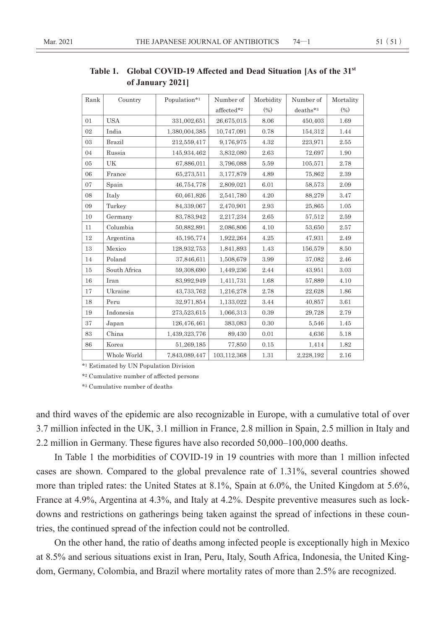| Rank   | Country       | Population*1  | Number of   | Morbidity         | Number of | Mortality |
|--------|---------------|---------------|-------------|-------------------|-----------|-----------|
|        |               |               | affected*2  | (9 <sub>0</sub> ) | deaths*3  | (%)       |
| 01     | <b>USA</b>    | 331,002,651   | 26,675,015  | 8.06              | 450,403   | 1.69      |
| 02     | India         | 1,380,004,385 | 10.747.091  | 0.78              | 154,312   | 1.44      |
| 03     | <b>Brazil</b> | 212,559,417   | 9.176.975   | 4.32              | 223,971   | 2.55      |
| 04     | Russia        | 145,934,462   | 3,832,080   | 2.63              | 72.697    | 1.90      |
| 05     | UK            | 67,886,011    | 3,796,088   | 5.59              | 105,571   | 2.78      |
| 06     | France        | 65,273,511    | 3,177,879   | 4.89              | 75,862    | 2.39      |
| 07     | Spain         | 46,754,778    | 2,809,021   | 6.01              | 58,573    | 2.09      |
| 08     | Italy         | 60,461,826    | 2,541,780   | 4.20              | 88,279    | 3.47      |
| 09     | Turkey        | 84,339,067    | 2,470,901   | 2.93              | 25,865    | 1.05      |
| 10     | Germany       | 83,783,942    | 2,217,234   | 2.65              | 57,512    | 2.59      |
| $11\,$ | Columbia      | 50,882,891    | 2,086,806   | 4.10              | 53,650    | 2.57      |
| 12     | Argentina     | 45,195,774    | 1,922,264   | 4.25              | 47,931    | 2.49      |
| 13     | Mexico        | 128,932,753   | 1,841,893   | 1.43              | 156,579   | 8.50      |
| 14     | Poland        | 37,846,611    | 1,508,679   | 3.99              | 37,082    | 2.46      |
| 15     | South Africa  | 59,308,690    | 1,449,236   | 2.44              | 43.951    | 3.03      |
| 16     | Iran          | 83,992,949    | 1,411,731   | 1.68              | 57,889    | 4.10      |
| 17     | Ukraine       | 43,733,762    | 1,216,278   | 2.78              | 22,628    | 1.86      |
| 18     | Peru          | 32,971,854    | 1,133,022   | 3.44              | 40,857    | 3.61      |
| 19     | Indonesia     | 273,523,615   | 1.066.313   | 0.39              | 29,728    | 2.79      |
| 37     | Japan         | 126,476,461   | 383,083     | 0.30              | 5,546     | 1.45      |
| 83     | China         | 1,439,323,776 | 89,430      | 0.01              | 4,636     | 5.18      |
| 86     | Korea         | 51,269,185    | 77,850      | 0.15              | 1,414     | 1.82      |
|        | Whole World   | 7.843.089.447 | 103,112,368 | 1.31              | 2,228,192 | 2.16      |

**Table 1. Global COVID-19 Affected and Dead Situation [As of the 31st of January 2021]**

 $\rm{^{\star_1}}$  Estimated by UN Population Division

\*2 Cumulative number of affected persons

\*3 Cumulative number of deaths

and third waves of the epidemic are also recognizable in Europe, with a cumulative total of over 3.7 million infected in the UK, 3.1 million in France, 2.8 million in Spain, 2.5 million in Italy and 2.2 million in Germany. These figures have also recorded 50,000–100,000 deaths.

In Table 1 the morbidities of COVID-19 in 19 countries with more than 1 million infected cases are shown. Compared to the global prevalence rate of 1.31%, several countries showed more than tripled rates: the United States at 8.1%, Spain at 6.0%, the United Kingdom at 5.6%, France at 4.9%, Argentina at 4.3%, and Italy at 4.2%. Despite preventive measures such as lockdowns and restrictions on gatherings being taken against the spread of infections in these countries, the continued spread of the infection could not be controlled.

On the other hand, the ratio of deaths among infected people is exceptionally high in Mexico at 8.5% and serious situations exist in Iran, Peru, Italy, South Africa, Indonesia, the United Kingdom, Germany, Colombia, and Brazil where mortality rates of more than 2.5% are recognized.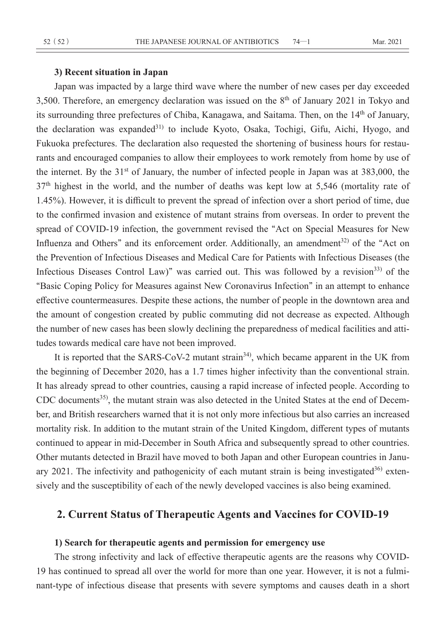### **3) Recent situation in Japan**

Japan was impacted by a large third wave where the number of new cases per day exceeded 3,500. Therefore, an emergency declaration was issued on the  $8<sup>th</sup>$  of January 2021 in Tokyo and its surrounding three prefectures of Chiba, Kanagawa, and Saitama. Then, on the 14<sup>th</sup> of January, the declaration was expanded<sup>31)</sup> to include Kyoto, Osaka, Tochigi, Gifu, Aichi, Hyogo, and Fukuoka prefectures. The declaration also requested the shortening of business hours for restaurants and encouraged companies to allow their employees to work remotely from home by use of the internet. By the  $31<sup>st</sup>$  of January, the number of infected people in Japan was at 383,000, the 37<sup>th</sup> highest in the world, and the number of deaths was kept low at 5,546 (mortality rate of 1.45%). However, it is difficult to prevent the spread of infection over a short period of time, due to the confirmed invasion and existence of mutant strains from overseas. In order to prevent the spread of COVID-19 infection, the government revised the **"**Act on Special Measures for New Influenza and Others" and its enforcement order. Additionally, an amendment<sup>32)</sup> of the "Act on the Prevention of Infectious Diseases and Medical Care for Patients with Infectious Diseases (the Infectious Diseases Control Law)" was carried out. This was followed by a revision<sup>33)</sup> of the **"**Basic Coping Policy for Measures against New Coronavirus Infection**"** in an attempt to enhance effective countermeasures. Despite these actions, the number of people in the downtown area and the amount of congestion created by public commuting did not decrease as expected. Although the number of new cases has been slowly declining the preparedness of medical facilities and attitudes towards medical care have not been improved.

It is reported that the SARS-CoV-2 mutant strain<sup>34</sup>, which became apparent in the UK from the beginning of December 2020, has a 1.7 times higher infectivity than the conventional strain. It has already spread to other countries, causing a rapid increase of infected people. According to CDC documents<sup>35)</sup>, the mutant strain was also detected in the United States at the end of December, and British researchers warned that it is not only more infectious but also carries an increased mortality risk. In addition to the mutant strain of the United Kingdom, different types of mutants continued to appear in mid-December in South Africa and subsequently spread to other countries. Other mutants detected in Brazil have moved to both Japan and other European countries in January 2021. The infectivity and pathogenicity of each mutant strain is being investigated $36$ ) extensively and the susceptibility of each of the newly developed vaccines is also being examined.

# **2. Current Status of Therapeutic Agents and Vaccines for COVID-19**

### **1) Search for therapeutic agents and permission for emergency use**

The strong infectivity and lack of effective therapeutic agents are the reasons why COVID-19 has continued to spread all over the world for more than one year. However, it is not a fulminant-type of infectious disease that presents with severe symptoms and causes death in a short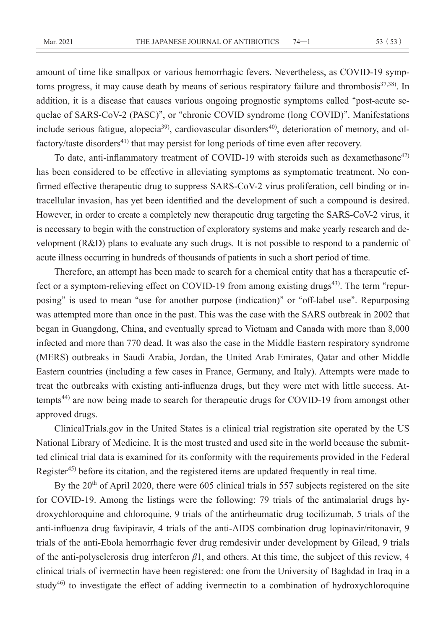amount of time like smallpox or various hemorrhagic fevers. Nevertheless, as COVID-19 symptoms progress, it may cause death by means of serious respiratory failure and thrombosis<sup>37,38)</sup>. In addition, it is a disease that causes various ongoing prognostic symptoms called **"**post-acute sequelae of SARS-CoV-2 (PASC)**"**, or **"**chronic COVID syndrome (long COVID)**"**. Manifestations include serious fatigue, alopecia<sup>39)</sup>, cardiovascular disorders<sup>40)</sup>, deterioration of memory, and olfactory/taste disorders<sup>41)</sup> that may persist for long periods of time even after recovery.

To date, anti-inflammatory treatment of COVID-19 with steroids such as dexamethasone<sup>42)</sup> has been considered to be effective in alleviating symptoms as symptomatic treatment. No confirmed effective therapeutic drug to suppress SARS-CoV-2 virus proliferation, cell binding or intracellular invasion, has yet been identified and the development of such a compound is desired. However, in order to create a completely new therapeutic drug targeting the SARS-CoV-2 virus, it is necessary to begin with the construction of exploratory systems and make yearly research and development (R&D) plans to evaluate any such drugs. It is not possible to respond to a pandemic of acute illness occurring in hundreds of thousands of patients in such a short period of time.

Therefore, an attempt has been made to search for a chemical entity that has a therapeutic effect or a symptom-relieving effect on COVID-19 from among existing drugs<sup>43)</sup>. The term "repurposing**"** is used to mean **"**use for another purpose (indication)**"** or **"**off-label use**"**. Repurposing was attempted more than once in the past. This was the case with the SARS outbreak in 2002 that began in Guangdong, China, and eventually spread to Vietnam and Canada with more than 8,000 infected and more than 770 dead. It was also the case in the Middle Eastern respiratory syndrome (MERS) outbreaks in Saudi Arabia, Jordan, the United Arab Emirates, Qatar and other Middle Eastern countries (including a few cases in France, Germany, and Italy). Attempts were made to treat the outbreaks with existing anti-influenza drugs, but they were met with little success. Attempts<sup>44)</sup> are now being made to search for therapeutic drugs for COVID-19 from amongst other approved drugs.

ClinicalTrials.gov in the United States is a clinical trial registration site operated by the US National Library of Medicine. It is the most trusted and used site in the world because the submitted clinical trial data is examined for its conformity with the requirements provided in the Federal Register45) before its citation, and the registered items are updated frequently in real time.

By the 20<sup>th</sup> of April 2020, there were 605 clinical trials in 557 subjects registered on the site for COVID-19. Among the listings were the following: 79 trials of the antimalarial drugs hydroxychloroquine and chloroquine, 9 trials of the antirheumatic drug tocilizumab, 5 trials of the anti-influenza drug favipiravir, 4 trials of the anti-AIDS combination drug lopinavir/ritonavir, 9 trials of the anti-Ebola hemorrhagic fever drug remdesivir under development by Gilead, 9 trials of the anti-polysclerosis drug interferon *β*1, and others. At this time, the subject of this review, 4 clinical trials of ivermectin have been registered: one from the University of Baghdad in Iraq in a study<sup>46)</sup> to investigate the effect of adding ivermectin to a combination of hydroxychloroquine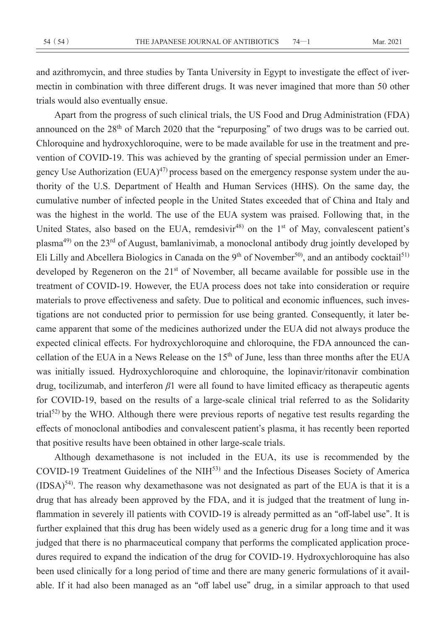and azithromycin, and three studies by Tanta University in Egypt to investigate the effect of ivermectin in combination with three different drugs. It was never imagined that more than 50 other trials would also eventually ensue.

Apart from the progress of such clinical trials, the US Food and Drug Administration (FDA) announced on the 28th of March 2020 that the **"**repurposing**"** of two drugs was to be carried out. Chloroquine and hydroxychloroquine, were to be made available for use in the treatment and prevention of COVID-19. This was achieved by the granting of special permission under an Emergency Use Authorization  $(EUA)^{47}$  process based on the emergency response system under the authority of the U.S. Department of Health and Human Services (HHS). On the same day, the cumulative number of infected people in the United States exceeded that of China and Italy and was the highest in the world. The use of the EUA system was praised. Following that, in the United States, also based on the EUA, remdesivir<sup>48)</sup> on the 1<sup>st</sup> of May, convalescent patient's plasma49) on the 23rd of August, bamlanivimab, a monoclonal antibody drug jointly developed by Eli Lilly and Abcellera Biologics in Canada on the 9<sup>th</sup> of November<sup>50</sup>, and an antibody cocktail<sup>51)</sup> developed by Regeneron on the  $21<sup>st</sup>$  of November, all became available for possible use in the treatment of COVID-19. However, the EUA process does not take into consideration or require materials to prove effectiveness and safety. Due to political and economic influences, such investigations are not conducted prior to permission for use being granted. Consequently, it later became apparent that some of the medicines authorized under the EUA did not always produce the expected clinical effects. For hydroxychloroquine and chloroquine, the FDA announced the cancellation of the EUA in a News Release on the 15th of June, less than three months after the EUA was initially issued. Hydroxychloroquine and chloroquine, the lopinavir/ritonavir combination drug, tocilizumab, and interferon *β*1 were all found to have limited efficacy as therapeutic agents for COVID-19, based on the results of a large-scale clinical trial referred to as the Solidarity trial<sup>52)</sup> by the WHO. Although there were previous reports of negative test results regarding the effects of monoclonal antibodies and convalescent patient**'**s plasma, it has recently been reported that positive results have been obtained in other large-scale trials.

Although dexamethasone is not included in the EUA, its use is recommended by the COVID-19 Treatment Guidelines of the NIH<sup>53)</sup> and the Infectious Diseases Society of America (IDSA)54). The reason why dexamethasone was not designated as part of the EUA is that it is a drug that has already been approved by the FDA, and it is judged that the treatment of lung inflammation in severely ill patients with COVID-19 is already permitted as an **"**off-label use**"**. It is further explained that this drug has been widely used as a generic drug for a long time and it was judged that there is no pharmaceutical company that performs the complicated application procedures required to expand the indication of the drug for COVID-19. Hydroxychloroquine has also been used clinically for a long period of time and there are many generic formulations of it available. If it had also been managed as an **"**off label use**"** drug, in a similar approach to that used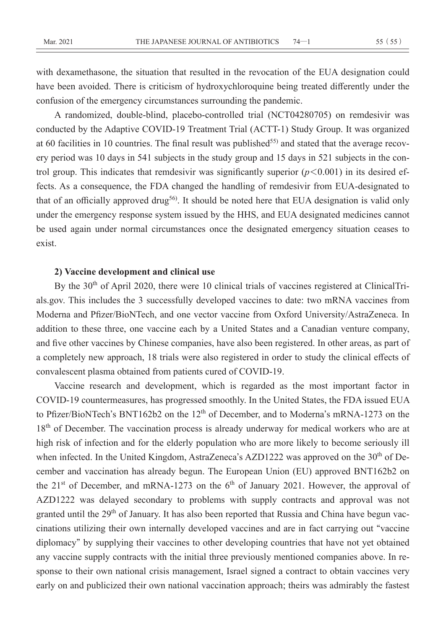with dexamethasone, the situation that resulted in the revocation of the EUA designation could have been avoided. There is criticism of hydroxychloroquine being treated differently under the confusion of the emergency circumstances surrounding the pandemic.

A randomized, double-blind, placebo-controlled trial (NCT04280705) on remdesivir was conducted by the Adaptive COVID-19 Treatment Trial (ACTT-1) Study Group. It was organized at 60 facilities in 10 countries. The final result was published<sup>55)</sup> and stated that the average recovery period was 10 days in 541 subjects in the study group and 15 days in 521 subjects in the control group. This indicates that remdesivir was significantly superior (*p***<**0.001) in its desired effects. As a consequence, the FDA changed the handling of remdesivir from EUA-designated to that of an officially approved drug<sup>56)</sup>. It should be noted here that EUA designation is valid only under the emergency response system issued by the HHS, and EUA designated medicines cannot be used again under normal circumstances once the designated emergency situation ceases to exist.

### **2) Vaccine development and clinical use**

By the 30<sup>th</sup> of April 2020, there were 10 clinical trials of vaccines registered at ClinicalTrials.gov. This includes the 3 successfully developed vaccines to date: two mRNA vaccines from Moderna and Pfizer/BioNTech, and one vector vaccine from Oxford University/AstraZeneca. In addition to these three, one vaccine each by a United States and a Canadian venture company, and five other vaccines by Chinese companies, have also been registered. In other areas, as part of a completely new approach, 18 trials were also registered in order to study the clinical effects of convalescent plasma obtained from patients cured of COVID-19.

Vaccine research and development, which is regarded as the most important factor in COVID-19 countermeasures, has progressed smoothly. In the United States, the FDA issued EUA to Pfizer/BioNTech**'**s BNT162b2 on the 12th of December, and to Moderna**'**s mRNA-1273 on the 18<sup>th</sup> of December. The vaccination process is already underway for medical workers who are at high risk of infection and for the elderly population who are more likely to become seriously ill when infected. In the United Kingdom, AstraZeneca's AZD1222 was approved on the 30<sup>th</sup> of December and vaccination has already begun. The European Union (EU) approved BNT162b2 on the  $21<sup>st</sup>$  of December, and mRNA-1273 on the  $6<sup>th</sup>$  of January 2021. However, the approval of AZD1222 was delayed secondary to problems with supply contracts and approval was not granted until the 29<sup>th</sup> of January. It has also been reported that Russia and China have begun vaccinations utilizing their own internally developed vaccines and are in fact carrying out **"**vaccine diplomacy**"** by supplying their vaccines to other developing countries that have not yet obtained any vaccine supply contracts with the initial three previously mentioned companies above. In response to their own national crisis management, Israel signed a contract to obtain vaccines very early on and publicized their own national vaccination approach; theirs was admirably the fastest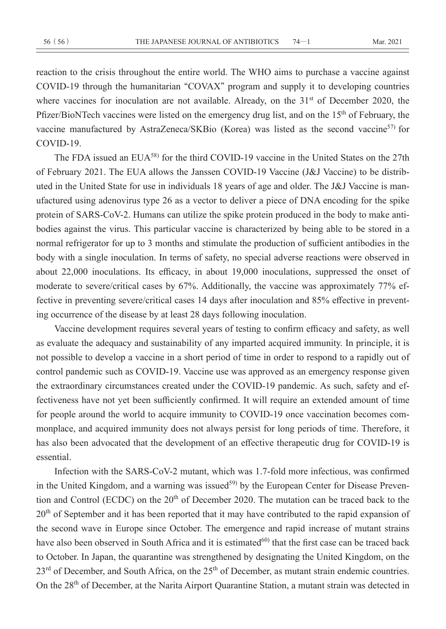reaction to the crisis throughout the entire world. The WHO aims to purchase a vaccine against COVID-19 through the humanitarian **"**COVAX**"** program and supply it to developing countries where vaccines for inoculation are not available. Already, on the  $31<sup>st</sup>$  of December 2020, the Pfizer/BioNTech vaccines were listed on the emergency drug list, and on the 15<sup>th</sup> of February, the vaccine manufactured by AstraZeneca/SKBio (Korea) was listed as the second vaccine<sup>57)</sup> for COVID-19.

The FDA issued an EUA<sup>58)</sup> for the third COVID-19 vaccine in the United States on the 27th of February 2021. The EUA allows the Janssen COVID-19 Vaccine (J&J Vaccine) to be distributed in the United State for use in individuals 18 years of age and older. The J&J Vaccine is manufactured using adenovirus type 26 as a vector to deliver a piece of DNA encoding for the spike protein of SARS-CoV-2. Humans can utilize the spike protein produced in the body to make antibodies against the virus. This particular vaccine is characterized by being able to be stored in a normal refrigerator for up to 3 months and stimulate the production of sufficient antibodies in the body with a single inoculation. In terms of safety, no special adverse reactions were observed in about 22,000 inoculations. Its efficacy, in about 19,000 inoculations, suppressed the onset of moderate to severe/critical cases by 67%. Additionally, the vaccine was approximately 77% effective in preventing severe/critical cases 14 days after inoculation and 85% effective in preventing occurrence of the disease by at least 28 days following inoculation.

Vaccine development requires several years of testing to confirm efficacy and safety, as well as evaluate the adequacy and sustainability of any imparted acquired immunity. In principle, it is not possible to develop a vaccine in a short period of time in order to respond to a rapidly out of control pandemic such as COVID-19. Vaccine use was approved as an emergency response given the extraordinary circumstances created under the COVID-19 pandemic. As such, safety and effectiveness have not yet been sufficiently confirmed. It will require an extended amount of time for people around the world to acquire immunity to COVID-19 once vaccination becomes commonplace, and acquired immunity does not always persist for long periods of time. Therefore, it has also been advocated that the development of an effective therapeutic drug for COVID-19 is essential.

Infection with the SARS-CoV-2 mutant, which was 1.7-fold more infectious, was confirmed in the United Kingdom, and a warning was issued<sup>59)</sup> by the European Center for Disease Prevention and Control (ECDC) on the 20<sup>th</sup> of December 2020. The mutation can be traced back to the 20<sup>th</sup> of September and it has been reported that it may have contributed to the rapid expansion of the second wave in Europe since October. The emergence and rapid increase of mutant strains have also been observed in South Africa and it is estimated<sup>60</sup> that the first case can be traced back to October. In Japan, the quarantine was strengthened by designating the United Kingdom, on the 23<sup>rd</sup> of December, and South Africa, on the 25<sup>th</sup> of December, as mutant strain endemic countries. On the 28<sup>th</sup> of December, at the Narita Airport Quarantine Station, a mutant strain was detected in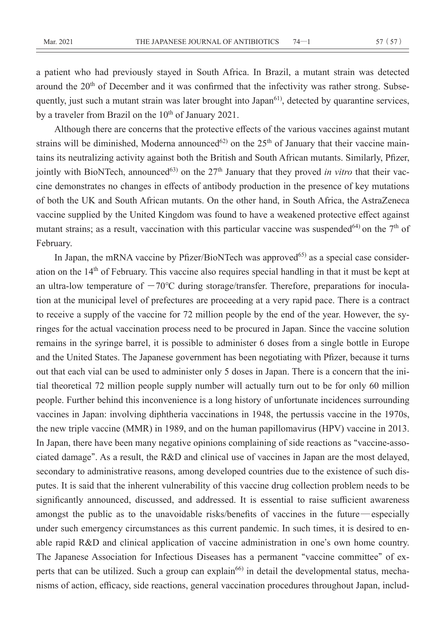a patient who had previously stayed in South Africa. In Brazil, a mutant strain was detected around the  $20<sup>th</sup>$  of December and it was confirmed that the infectivity was rather strong. Subsequently, just such a mutant strain was later brought into Japan<sup>61)</sup>, detected by quarantine services, by a traveler from Brazil on the  $10^{th}$  of January 2021.

Although there are concerns that the protective effects of the various vaccines against mutant strains will be diminished, Moderna announced<sup>62)</sup> on the  $25<sup>th</sup>$  of January that their vaccine maintains its neutralizing activity against both the British and South African mutants. Similarly, Pfizer, jointly with BioNTech, announced<sup>63)</sup> on the 27<sup>th</sup> January that they proved *in vitro* that their vaccine demonstrates no changes in effects of antibody production in the presence of key mutations of both the UK and South African mutants. On the other hand, in South Africa, the AstraZeneca vaccine supplied by the United Kingdom was found to have a weakened protective effect against mutant strains; as a result, vaccination with this particular vaccine was suspended<sup>64)</sup> on the  $7<sup>th</sup>$  of February.

In Japan, the mRNA vaccine by Pfizer/BioNTech was approved $^{65)}$  as a special case consideration on the 14th of February. This vaccine also requires special handling in that it must be kept at an ultra-low temperature of  $-70^{\circ}$ C during storage/transfer. Therefore, preparations for inoculation at the municipal level of prefectures are proceeding at a very rapid pace. There is a contract to receive a supply of the vaccine for 72 million people by the end of the year. However, the syringes for the actual vaccination process need to be procured in Japan. Since the vaccine solution remains in the syringe barrel, it is possible to administer 6 doses from a single bottle in Europe and the United States. The Japanese government has been negotiating with Pfizer, because it turns out that each vial can be used to administer only 5 doses in Japan. There is a concern that the initial theoretical 72 million people supply number will actually turn out to be for only 60 million people. Further behind this inconvenience is a long history of unfortunate incidences surrounding vaccines in Japan: involving diphtheria vaccinations in 1948, the pertussis vaccine in the 1970s, the new triple vaccine (MMR) in 1989, and on the human papillomavirus (HPV) vaccine in 2013. In Japan, there have been many negative opinions complaining of side reactions as **"**vaccine-associated damage**"**. As a result, the R&D and clinical use of vaccines in Japan are the most delayed, secondary to administrative reasons, among developed countries due to the existence of such disputes. It is said that the inherent vulnerability of this vaccine drug collection problem needs to be significantly announced, discussed, and addressed. It is essential to raise sufficient awareness amongst the public as to the unavoidable risks/benefits of vaccines in the future—especially under such emergency circumstances as this current pandemic. In such times, it is desired to enable rapid R&D and clinical application of vaccine administration in one**'**s own home country. The Japanese Association for Infectious Diseases has a permanent **"**vaccine committee**"** of experts that can be utilized. Such a group can explain<sup>66)</sup> in detail the developmental status, mechanisms of action, efficacy, side reactions, general vaccination procedures throughout Japan, includ-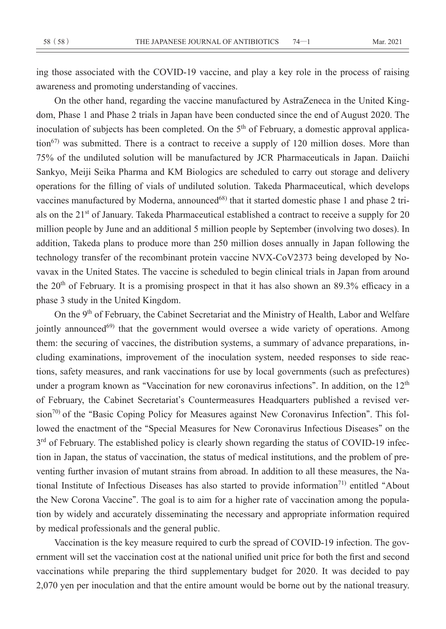ing those associated with the COVID-19 vaccine, and play a key role in the process of raising awareness and promoting understanding of vaccines.

On the other hand, regarding the vaccine manufactured by AstraZeneca in the United Kingdom, Phase 1 and Phase 2 trials in Japan have been conducted since the end of August 2020. The inoculation of subjects has been completed. On the  $5<sup>th</sup>$  of February, a domestic approval application<sup>67)</sup> was submitted. There is a contract to receive a supply of 120 million doses. More than 75% of the undiluted solution will be manufactured by JCR Pharmaceuticals in Japan. Daiichi Sankyo, Meiji Seika Pharma and KM Biologics are scheduled to carry out storage and delivery operations for the filling of vials of undiluted solution. Takeda Pharmaceutical, which develops vaccines manufactured by Moderna, announced<sup>68)</sup> that it started domestic phase 1 and phase 2 trials on the 21<sup>st</sup> of January. Takeda Pharmaceutical established a contract to receive a supply for 20 million people by June and an additional 5 million people by September (involving two doses). In addition, Takeda plans to produce more than 250 million doses annually in Japan following the technology transfer of the recombinant protein vaccine NVX-CoV2373 being developed by Novavax in the United States. The vaccine is scheduled to begin clinical trials in Japan from around the 20<sup>th</sup> of February. It is a promising prospect in that it has also shown an 89.3% efficacy in a phase 3 study in the United Kingdom.

On the 9<sup>th</sup> of February, the Cabinet Secretariat and the Ministry of Health, Labor and Welfare jointly announced<sup>69)</sup> that the government would oversee a wide variety of operations. Among them: the securing of vaccines, the distribution systems, a summary of advance preparations, including examinations, improvement of the inoculation system, needed responses to side reactions, safety measures, and rank vaccinations for use by local governments (such as prefectures) under a program known as **"**Vaccination for new coronavirus infections**"**. In addition, on the 12th of February, the Cabinet Secretariat**'**s Countermeasures Headquarters published a revised version70) of the **"**Basic Coping Policy for Measures against New Coronavirus Infection**"**. This followed the enactment of the **"**Special Measures for New Coronavirus Infectious Diseases**"** on the 3<sup>rd</sup> of February. The established policy is clearly shown regarding the status of COVID-19 infection in Japan, the status of vaccination, the status of medical institutions, and the problem of preventing further invasion of mutant strains from abroad. In addition to all these measures, the National Institute of Infectious Diseases has also started to provide information<sup>71)</sup> entitled "About the New Corona Vaccine**"**. The goal is to aim for a higher rate of vaccination among the population by widely and accurately disseminating the necessary and appropriate information required by medical professionals and the general public.

Vaccination is the key measure required to curb the spread of COVID-19 infection. The government will set the vaccination cost at the national unified unit price for both the first and second vaccinations while preparing the third supplementary budget for 2020. It was decided to pay 2,070 yen per inoculation and that the entire amount would be borne out by the national treasury.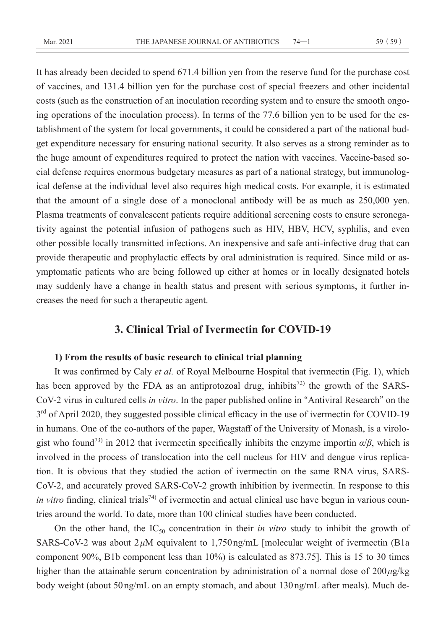It has already been decided to spend 671.4 billion yen from the reserve fund for the purchase cost of vaccines, and 131.4 billion yen for the purchase cost of special freezers and other incidental costs (such as the construction of an inoculation recording system and to ensure the smooth ongoing operations of the inoculation process). In terms of the 77.6 billion yen to be used for the establishment of the system for local governments, it could be considered a part of the national budget expenditure necessary for ensuring national security. It also serves as a strong reminder as to the huge amount of expenditures required to protect the nation with vaccines. Vaccine-based social defense requires enormous budgetary measures as part of a national strategy, but immunological defense at the individual level also requires high medical costs. For example, it is estimated that the amount of a single dose of a monoclonal antibody will be as much as 250,000 yen. Plasma treatments of convalescent patients require additional screening costs to ensure seronegativity against the potential infusion of pathogens such as HIV, HBV, HCV, syphilis, and even other possible locally transmitted infections. An inexpensive and safe anti-infective drug that can provide therapeutic and prophylactic effects by oral administration is required. Since mild or asymptomatic patients who are being followed up either at homes or in locally designated hotels may suddenly have a change in health status and present with serious symptoms, it further increases the need for such a therapeutic agent.

### **3. Clinical Trial of Ivermectin for COVID-19**

### **1) From the results of basic research to clinical trial planning**

It was confirmed by Caly *et al.* of Royal Melbourne Hospital that ivermectin (Fig. 1), which has been approved by the FDA as an antiprotozoal drug, inhibits<sup>72)</sup> the growth of the SARS-CoV-2 virus in cultured cells *in vitro*. In the paper published online in **"**Antiviral Research**"** on the  $3<sup>rd</sup>$  of April 2020, they suggested possible clinical efficacy in the use of ivermectin for COVID-19 in humans. One of the co-authors of the paper, Wagstaff of the University of Monash, is a virologist who found<sup>73)</sup> in 2012 that ivermectin specifically inhibits the enzyme importin  $\alpha/\beta$ , which is involved in the process of translocation into the cell nucleus for HIV and dengue virus replication. It is obvious that they studied the action of ivermectin on the same RNA virus, SARS-CoV-2, and accurately proved SARS-CoV-2 growth inhibition by ivermectin. In response to this *in vitro* finding, clinical trials<sup>74)</sup> of ivermectin and actual clinical use have begun in various countries around the world. To date, more than 100 clinical studies have been conducted.

On the other hand, the  $IC_{50}$  concentration in their *in vitro* study to inhibit the growth of SARS-CoV-2 was about  $2 \mu$ M equivalent to 1,750 ng/mL [molecular weight of ivermectin (B1a component 90%, B1b component less than 10%) is calculated as 873.75]. This is 15 to 30 times higher than the attainable serum concentration by administration of a normal dose of 200 *μ*g/kg body weight (about 50 ng/mL on an empty stomach, and about 130 ng/mL after meals). Much de-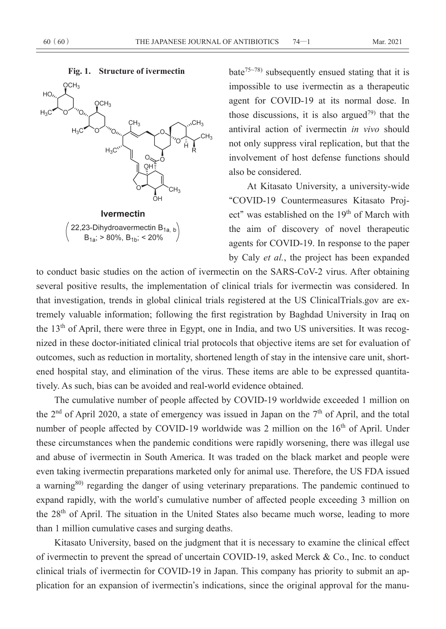

bate<sup>75~78)</sup> subsequently ensued stating that it is impossible to use ivermectin as a therapeutic agent for COVID-19 at its normal dose. In those discussions, it is also argued<sup>79)</sup> that the antiviral action of ivermectin *in vivo* should not only suppress viral replication, but that the involvement of host defense functions should also be considered.

At Kitasato University, a university-wide **"**COVID-19 Countermeasures Kitasato Project" was established on the 19<sup>th</sup> of March with the aim of discovery of novel therapeutic agents for COVID-19. In response to the paper by Caly *et al.*, the project has been expanded

to conduct basic studies on the action of ivermectin on the SARS-CoV-2 virus. After obtaining several positive results, the implementation of clinical trials for ivermectin was considered. In that investigation, trends in global clinical trials registered at the US ClinicalTrials.gov are extremely valuable information; following the first registration by Baghdad University in Iraq on the 13<sup>th</sup> of April, there were three in Egypt, one in India, and two US universities. It was recognized in these doctor-initiated clinical trial protocols that objective items are set for evaluation of outcomes, such as reduction in mortality, shortened length of stay in the intensive care unit, shortened hospital stay, and elimination of the virus. These items are able to be expressed quantitatively. As such, bias can be avoided and real-world evidence obtained.

The cumulative number of people affected by COVID-19 worldwide exceeded 1 million on the  $2<sup>nd</sup>$  of April 2020, a state of emergency was issued in Japan on the  $7<sup>th</sup>$  of April, and the total number of people affected by COVID-19 worldwide was 2 million on the 16<sup>th</sup> of April. Under these circumstances when the pandemic conditions were rapidly worsening, there was illegal use and abuse of ivermectin in South America. It was traded on the black market and people were even taking ivermectin preparations marketed only for animal use. Therefore, the US FDA issued a warning<sup>80)</sup> regarding the danger of using veterinary preparations. The pandemic continued to expand rapidly, with the world**'**s cumulative number of affected people exceeding 3 million on the 28<sup>th</sup> of April. The situation in the United States also became much worse, leading to more than 1 million cumulative cases and surging deaths.

Kitasato University, based on the judgment that it is necessary to examine the clinical effect of ivermectin to prevent the spread of uncertain COVID-19, asked Merck & Co., Inc. to conduct clinical trials of ivermectin for COVID-19 in Japan. This company has priority to submit an application for an expansion of ivermectin**'**s indications, since the original approval for the manu-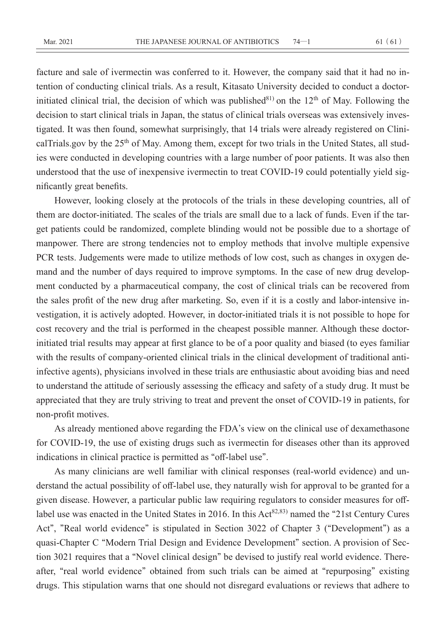facture and sale of ivermectin was conferred to it. However, the company said that it had no intention of conducting clinical trials. As a result, Kitasato University decided to conduct a doctorinitiated clinical trial, the decision of which was published $81$  on the 12<sup>th</sup> of May. Following the decision to start clinical trials in Japan, the status of clinical trials overseas was extensively investigated. It was then found, somewhat surprisingly, that 14 trials were already registered on ClinicalTrials.gov by the 25<sup>th</sup> of May. Among them, except for two trials in the United States, all studies were conducted in developing countries with a large number of poor patients. It was also then understood that the use of inexpensive ivermectin to treat COVID-19 could potentially yield significantly great benefits.

However, looking closely at the protocols of the trials in these developing countries, all of them are doctor-initiated. The scales of the trials are small due to a lack of funds. Even if the target patients could be randomized, complete blinding would not be possible due to a shortage of manpower. There are strong tendencies not to employ methods that involve multiple expensive PCR tests. Judgements were made to utilize methods of low cost, such as changes in oxygen demand and the number of days required to improve symptoms. In the case of new drug development conducted by a pharmaceutical company, the cost of clinical trials can be recovered from the sales profit of the new drug after marketing. So, even if it is a costly and labor-intensive investigation, it is actively adopted. However, in doctor-initiated trials it is not possible to hope for cost recovery and the trial is performed in the cheapest possible manner. Although these doctorinitiated trial results may appear at first glance to be of a poor quality and biased (to eyes familiar with the results of company-oriented clinical trials in the clinical development of traditional antiinfective agents), physicians involved in these trials are enthusiastic about avoiding bias and need to understand the attitude of seriously assessing the efficacy and safety of a study drug. It must be appreciated that they are truly striving to treat and prevent the onset of COVID-19 in patients, for non-profit motives.

As already mentioned above regarding the FDA**'**s view on the clinical use of dexamethasone for COVID-19, the use of existing drugs such as ivermectin for diseases other than its approved indications in clinical practice is permitted as **"**off-label use**"**.

As many clinicians are well familiar with clinical responses (real-world evidence) and understand the actual possibility of off-label use, they naturally wish for approval to be granted for a given disease. However, a particular public law requiring regulators to consider measures for offlabel use was enacted in the United States in 2016. In this Act<sup>82,83</sup> named the "21st Century Cures Act**"**, **"**Real world evidence**"** is stipulated in Section 3022 of Chapter 3 (**"**Development**"**) as a quasi-Chapter C **"**Modern Trial Design and Evidence Development**"** section. A provision of Section 3021 requires that a **"**Novel clinical design**"** be devised to justify real world evidence. Thereafter, **"**real world evidence**"** obtained from such trials can be aimed at **"**repurposing**"** existing drugs. This stipulation warns that one should not disregard evaluations or reviews that adhere to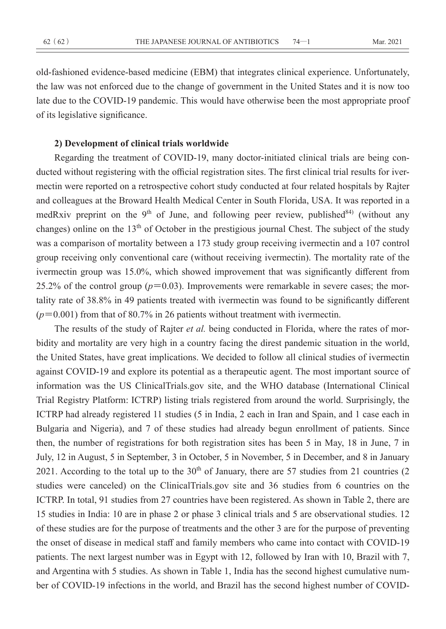old-fashioned evidence-based medicine (EBM) that integrates clinical experience. Unfortunately, the law was not enforced due to the change of government in the United States and it is now too late due to the COVID-19 pandemic. This would have otherwise been the most appropriate proof of its legislative significance.

### **2) Development of clinical trials worldwide**

Regarding the treatment of COVID-19, many doctor-initiated clinical trials are being conducted without registering with the official registration sites. The first clinical trial results for ivermectin were reported on a retrospective cohort study conducted at four related hospitals by Rajter and colleagues at the Broward Health Medical Center in South Florida, USA. It was reported in a medRxiv preprint on the 9<sup>th</sup> of June, and following peer review, published<sup>84)</sup> (without any changes) online on the 13<sup>th</sup> of October in the prestigious journal Chest. The subject of the study was a comparison of mortality between a 173 study group receiving ivermectin and a 107 control group receiving only conventional care (without receiving ivermectin). The mortality rate of the ivermectin group was 15.0%, which showed improvement that was significantly different from 25.2% of the control group  $(p=0.03)$ . Improvements were remarkable in severe cases; the mortality rate of 38.8% in 49 patients treated with ivermectin was found to be significantly different (*p***=**0.001) from that of 80.7% in 26 patients without treatment with ivermectin.

The results of the study of Rajter *et al.* being conducted in Florida, where the rates of morbidity and mortality are very high in a country facing the direst pandemic situation in the world, the United States, have great implications. We decided to follow all clinical studies of ivermectin against COVID-19 and explore its potential as a therapeutic agent. The most important source of information was the US ClinicalTrials.gov site, and the WHO database (International Clinical Trial Registry Platform: ICTRP) listing trials registered from around the world. Surprisingly, the ICTRP had already registered 11 studies (5 in India, 2 each in Iran and Spain, and 1 case each in Bulgaria and Nigeria), and 7 of these studies had already begun enrollment of patients. Since then, the number of registrations for both registration sites has been 5 in May, 18 in June, 7 in July, 12 in August, 5 in September, 3 in October, 5 in November, 5 in December, and 8 in January 2021. According to the total up to the  $30<sup>th</sup>$  of January, there are 57 studies from 21 countries (2) studies were canceled) on the ClinicalTrials.gov site and 36 studies from 6 countries on the ICTRP. In total, 91 studies from 27 countries have been registered. As shown in Table 2, there are 15 studies in India: 10 are in phase 2 or phase 3 clinical trials and 5 are observational studies. 12 of these studies are for the purpose of treatments and the other 3 are for the purpose of preventing the onset of disease in medical staff and family members who came into contact with COVID-19 patients. The next largest number was in Egypt with 12, followed by Iran with 10, Brazil with 7, and Argentina with 5 studies. As shown in Table 1, India has the second highest cumulative number of COVID-19 infections in the world, and Brazil has the second highest number of COVID-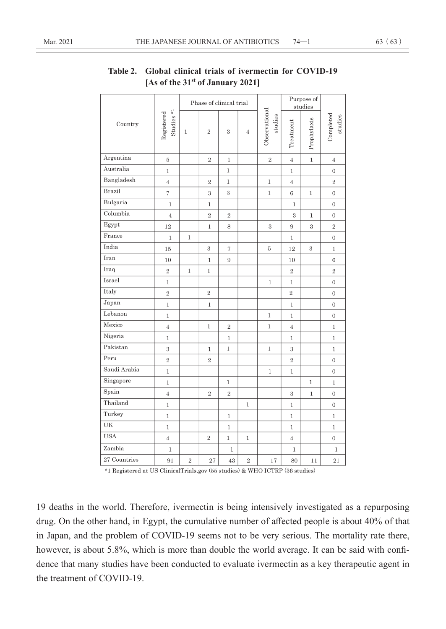|               | Studies $*$ <sub>1</sub><br>Registered | Phase of clinical trial |                |                   |                |                          |                | Purpose of<br>studies |                      |
|---------------|----------------------------------------|-------------------------|----------------|-------------------|----------------|--------------------------|----------------|-----------------------|----------------------|
| Country       |                                        | $\mathbf{1}$            | $\overline{2}$ | 3                 | $\overline{4}$ | Observational<br>studies | Treatment      | Prophylaxis           | Completed<br>studies |
| Argentina     | 5                                      |                         | $\overline{2}$ | $\mathbf{1}$      |                | $\overline{2}$           | $\overline{4}$ | $\mathbf{1}$          | $\overline{4}$       |
| Australia     | $\,1$                                  |                         |                | 1                 |                |                          | $\mathbf{1}$   |                       | $\mathbf 0$          |
| Bangladesh    | $\overline{4}$                         |                         | $\overline{2}$ | $\mathbf{1}$      |                | $\mathbf 1$              | $\overline{4}$ |                       | $\overline{2}$       |
| <b>Brazil</b> | $\overline{\tau}$                      |                         | 3              | 3                 |                | $\mathbf{1}$             | $\,6\,$        | 1                     | $\boldsymbol{0}$     |
| Bulgaria      | $\,1\,$                                |                         | $\mathbf 1$    |                   |                |                          | $1\,$          |                       | $\mathbf{0}$         |
| Columbia      | $\overline{4}$                         |                         | $\overline{2}$ | $\sqrt{2}$        |                |                          | 3              | $\mathbf{1}$          | $\boldsymbol{0}$     |
| Egypt         | 12                                     |                         | $\mathbf{1}$   | 8                 |                | 3                        | 9              | $\,3$                 | $\overline{2}$       |
| France        | $\mathbf{1}$                           | $1\,$                   |                |                   |                |                          | $\mathbf{1}$   |                       | $\mathbf{0}$         |
| India         | 15                                     |                         | 3              | $\scriptstyle{7}$ |                | 5                        | 12             | 3                     | $\mathbf{1}$         |
| Iran          | 10                                     |                         | $\mathbf{1}$   | 9                 |                |                          | 10             |                       | $\,6$                |
| Iraq          | $\sqrt{2}$                             | $\mathbbm{1}$           | $\mathbbm{1}$  |                   |                |                          | $\overline{2}$ |                       | $\overline{2}$       |
| Israel        | $\mathbf 1$                            |                         |                |                   |                | $\mathbf{1}$             | $\mathbf{1}$   |                       | $\overline{0}$       |
| Italy         | $\,2$                                  |                         | $\sqrt{2}$     |                   |                |                          | $\,2$          |                       | $\mathbf{0}$         |
| Japan         | $\,1$                                  |                         | $\mathbf 1$    |                   |                |                          | $\mathbf{1}$   |                       | $\mathbf{0}$         |
| Lebanon       | $\mathbf{1}$                           |                         |                |                   |                | $\mathbf{1}$             | $\mathbf{1}$   |                       | $\mathbf{0}$         |
| Mexico        | $\overline{4}$                         |                         | $\mathbf{1}$   | $\overline{2}$    |                | $\mathbf{1}$             | $\overline{4}$ |                       | $\mathbf{1}$         |
| Nigeria       | $1\,$                                  |                         |                | $\mathbf{1}$      |                |                          | $\mathbf{1}$   |                       | $\mathbf{1}$         |
| Pakistan      | 3                                      |                         | 1              | $\mathbf{1}$      |                | $\mathbf{1}$             | 3              |                       | $\mathbf{1}$         |
| Peru          | $\overline{2}$                         |                         | $\overline{2}$ |                   |                |                          | $\overline{2}$ |                       | $\mathbf{0}$         |
| Saudi Arabia  | $\mathbf 1$                            |                         |                |                   |                | $\mathbf 1$              | $\mathbf{1}$   |                       | $\boldsymbol{0}$     |
| Singapore     | $\mathbf 1$                            |                         |                | 1                 |                |                          |                | $\mathbf{1}$          | $\mathbf{1}$         |
| Spain         | $\overline{4}$                         |                         | $\overline{2}$ | $\sqrt{2}$        |                |                          | 3              | $\mathbf{1}$          | $\mathbf{0}$         |
| Thailand      | $\mathbf 1$                            |                         |                |                   | $\mathbf 1$    |                          | $\mathbf{1}$   |                       | $\mathbf{0}$         |
| Turkey        | $\mathbf 1$                            |                         |                | $\mathbf 1$       |                |                          | $\mathbf{1}$   |                       | $\mathbf 1$          |
| UK            | $\,1$                                  |                         |                | $\mathbf{1}$      |                |                          | $\mathbf{1}$   |                       | $\mathbf{1}$         |
| <b>USA</b>    | $\overline{4}$                         |                         | $\,2$          | $\mathbf{1}$      | $\mathbf{1}$   |                          | $\overline{4}$ |                       | $\boldsymbol{0}$     |
| Zambia        | $\,1$                                  |                         |                | $\mathbbm{1}$     |                |                          | $1\,$          |                       | $\,1$                |
| 27 Countries  | 91                                     | $\overline{2}$          | 27             | 43                | $\,2$          | 17                       | 80             | 11                    | 21                   |

## **Table 2. Global clinical trials of ivermectin for COVID-19 [As of the 31st of January 2021]**

\*1 Registered at US ClinicalTrials.gov (55 studies) & WHO ICTRP (36 studies)

19 deaths in the world. Therefore, ivermectin is being intensively investigated as a repurposing drug. On the other hand, in Egypt, the cumulative number of affected people is about 40% of that in Japan, and the problem of COVID-19 seems not to be very serious. The mortality rate there, however, is about 5.8%, which is more than double the world average. It can be said with confidence that many studies have been conducted to evaluate ivermectin as a key therapeutic agent in the treatment of COVID-19.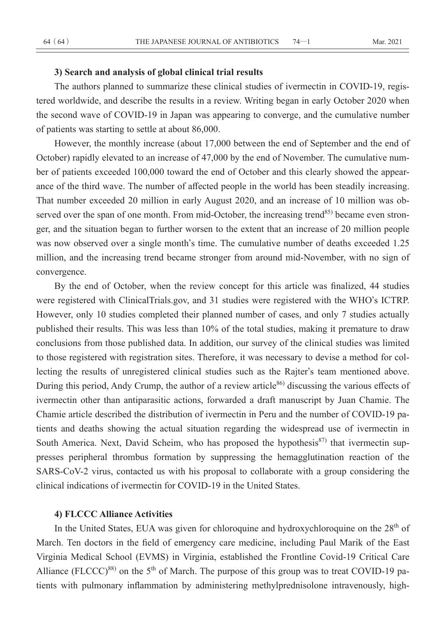### **3) Search and analysis of global clinical trial results**

The authors planned to summarize these clinical studies of ivermectin in COVID-19, registered worldwide, and describe the results in a review. Writing began in early October 2020 when the second wave of COVID-19 in Japan was appearing to converge, and the cumulative number of patients was starting to settle at about 86,000.

However, the monthly increase (about 17,000 between the end of September and the end of October) rapidly elevated to an increase of 47,000 by the end of November. The cumulative number of patients exceeded 100,000 toward the end of October and this clearly showed the appearance of the third wave. The number of affected people in the world has been steadily increasing. That number exceeded 20 million in early August 2020, and an increase of 10 million was observed over the span of one month. From mid-October, the increasing trend<sup>85)</sup> became even stronger, and the situation began to further worsen to the extent that an increase of 20 million people was now observed over a single month**'**s time. The cumulative number of deaths exceeded 1.25 million, and the increasing trend became stronger from around mid-November, with no sign of convergence.

By the end of October, when the review concept for this article was finalized, 44 studies were registered with ClinicalTrials.gov, and 31 studies were registered with the WHO**'**s ICTRP. However, only 10 studies completed their planned number of cases, and only 7 studies actually published their results. This was less than 10% of the total studies, making it premature to draw conclusions from those published data. In addition, our survey of the clinical studies was limited to those registered with registration sites. Therefore, it was necessary to devise a method for collecting the results of unregistered clinical studies such as the Rajter**'**s team mentioned above. During this period, Andy Crump, the author of a review article<sup>86)</sup> discussing the various effects of ivermectin other than antiparasitic actions, forwarded a draft manuscript by Juan Chamie. The Chamie article described the distribution of ivermectin in Peru and the number of COVID-19 patients and deaths showing the actual situation regarding the widespread use of ivermectin in South America. Next, David Scheim, who has proposed the hypothesis $87$  that ivermectin suppresses peripheral thrombus formation by suppressing the hemagglutination reaction of the SARS-CoV-2 virus, contacted us with his proposal to collaborate with a group considering the clinical indications of ivermectin for COVID-19 in the United States.

### **4) FLCCC Alliance Activities**

In the United States, EUA was given for chloroquine and hydroxychloroquine on the 28<sup>th</sup> of March. Ten doctors in the field of emergency care medicine, including Paul Marik of the East Virginia Medical School (EVMS) in Virginia, established the Frontline Covid-19 Critical Care Alliance (FLCCC)<sup>88)</sup> on the 5<sup>th</sup> of March. The purpose of this group was to treat COVID-19 patients with pulmonary inflammation by administering methylprednisolone intravenously, high-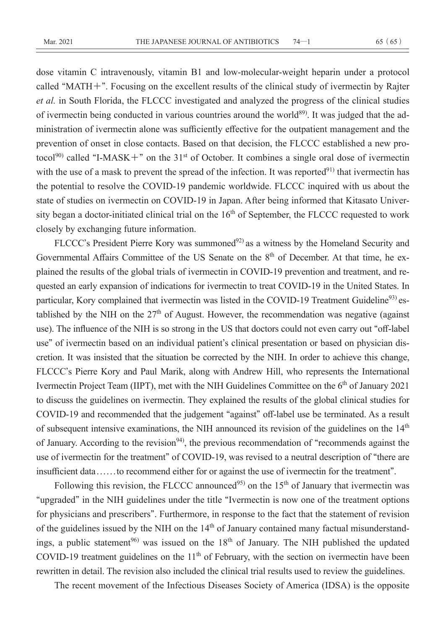dose vitamin C intravenously, vitamin B1 and low-molecular-weight heparin under a protocol called **"**MATH**+"**. Focusing on the excellent results of the clinical study of ivermectin by Rajter *et al.* in South Florida, the FLCCC investigated and analyzed the progress of the clinical studies of ivermectin being conducted in various countries around the world<sup>89)</sup>. It was judged that the administration of ivermectin alone was sufficiently effective for the outpatient management and the prevention of onset in close contacts. Based on that decision, the FLCCC established a new protocol<sup>90)</sup> called "I-MASK<sup>+</sup>" on the 31<sup>st</sup> of October. It combines a single oral dose of ivermectin with the use of a mask to prevent the spread of the infection. It was reported $91$  that ivermectin has the potential to resolve the COVID-19 pandemic worldwide. FLCCC inquired with us about the state of studies on ivermectin on COVID-19 in Japan. After being informed that Kitasato University began a doctor-initiated clinical trial on the  $16<sup>th</sup>$  of September, the FLCCC requested to work closely by exchanging future information.

FLCCC's President Pierre Kory was summoned<sup>92)</sup> as a witness by the Homeland Security and Governmental Affairs Committee of the US Senate on the  $8<sup>th</sup>$  of December. At that time, he explained the results of the global trials of ivermectin in COVID-19 prevention and treatment, and requested an early expansion of indications for ivermectin to treat COVID-19 in the United States. In particular, Kory complained that ivermectin was listed in the COVID-19 Treatment Guideline<sup>93)</sup> established by the NIH on the  $27<sup>th</sup>$  of August. However, the recommendation was negative (against use). The influence of the NIH is so strong in the US that doctors could not even carry out **"**off-label use**"** of ivermectin based on an individual patient**'**s clinical presentation or based on physician discretion. It was insisted that the situation be corrected by the NIH. In order to achieve this change, FLCCC**'**s Pierre Kory and Paul Marik, along with Andrew Hill, who represents the International Ivermectin Project Team (IIPT), met with the NIH Guidelines Committee on the 6<sup>th</sup> of January 2021 to discuss the guidelines on ivermectin. They explained the results of the global clinical studies for COVID-19 and recommended that the judgement **"**against**"** off-label use be terminated. As a result of subsequent intensive examinations, the NIH announced its revision of the guidelines on the 14<sup>th</sup> of January. According to the revision<sup>94</sup>, the previous recommendation of "recommends against the use of ivermectin for the treatment**"** of COVID-19, was revised to a neutral description of **"**there are insufficient data . . . . . . to recommend either for or against the use of ivermectin for the treatment**"**.

Following this revision, the FLCCC announced<sup>95)</sup> on the 15<sup>th</sup> of January that ivermectin was **"**upgraded**"** in the NIH guidelines under the title **"**Ivermectin is now one of the treatment options for physicians and prescribers**"**. Furthermore, in response to the fact that the statement of revision of the guidelines issued by the NIH on the  $14<sup>th</sup>$  of January contained many factual misunderstandings, a public statement<sup>96)</sup> was issued on the  $18<sup>th</sup>$  of January. The NIH published the updated COVID-19 treatment guidelines on the  $11<sup>th</sup>$  of February, with the section on ivermectin have been rewritten in detail. The revision also included the clinical trial results used to review the guidelines.

The recent movement of the Infectious Diseases Society of America (IDSA) is the opposite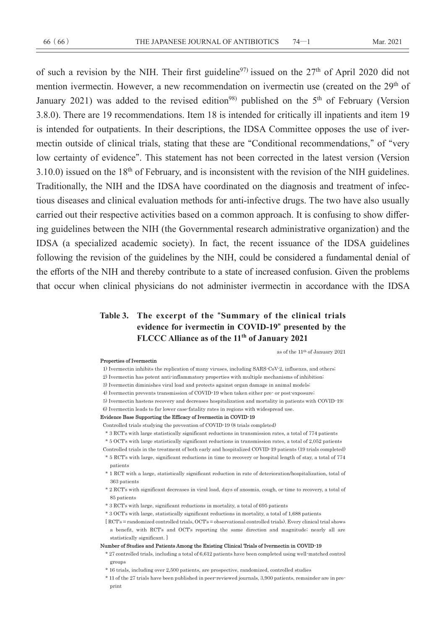of such a revision by the NIH. Their first guideline<sup>97)</sup> issued on the  $27<sup>th</sup>$  of April 2020 did not mention ivermectin. However, a new recommendation on ivermectin use (created on the 29<sup>th</sup> of January 2021) was added to the revised edition<sup>98)</sup> published on the  $5<sup>th</sup>$  of February (Version 3.8.0). There are 19 recommendations. Item 18 is intended for critically ill inpatients and item 19 is intended for outpatients. In their descriptions, the IDSA Committee opposes the use of ivermectin outside of clinical trials, stating that these are **"**Conditional recommendations,**"** of **"**very low certainty of evidence**"**. This statement has not been corrected in the latest version (Version 3.10.0) issued on the 18<sup>th</sup> of February, and is inconsistent with the revision of the NIH guidelines. Traditionally, the NIH and the IDSA have coordinated on the diagnosis and treatment of infectious diseases and clinical evaluation methods for anti-infective drugs. The two have also usually carried out their respective activities based on a common approach. It is confusing to show differing guidelines between the NIH (the Governmental research administrative organization) and the IDSA (a specialized academic society). In fact, the recent issuance of the IDSA guidelines following the revision of the guidelines by the NIH, could be considered a fundamental denial of the efforts of the NIH and thereby contribute to a state of increased confusion. Given the problems that occur when clinical physicians do not administer ivermectin in accordance with the IDSA

## **Table 3. The excerpt of the "Summary of the clinical trials evidence for ivermectin in COVID-19" presented by the FLCCC Alliance as of the 11th of January 2021**

as of the 11<sup>th</sup> of January 2021

#### Properties of Ivermectin

- 1) Ivermectin inhibits the replication of many viruses, including SARS CoV-2, influenza, and others;
- 2) Ivermectin has potent anti-inflammatory properties with multiple mechanisms of inhibition.
- 3) Ivermectin diminishes viral load and protects against organ damage in animal models;
- 4) Ivermectin prevents transmission of COVID-19 when taken either pre- or post-exposure;
- 5) Ivermectin hastens recovery and decreases hospitalization and mortality in patients with COVID-19;
- 6) Ivermectin leads to far lower case fatality rates in regions with widespread use.

#### Evidence Base Supporting the Efficacy of Ivermectin in COVID-19

Controlled trials studying the prevention of COVID-19 (8 trials completed)

- \* 3 RCT's with large statistically significant reductions in transmission rates, a total of 774 patients
- $^{\ast}$  5 OCTs with large statistically significant reductions in transmission rates, a total of 2,052 patients

Controlled trials in the treatment of both early and hospitalized COVID-19 patients (19 trials completed) \* 5 RCT's with large, significant reductions in time to recovery or hospital length of stay, a total of 774

- patients \* 1 RCT with a large, statistically significant reduction in rate of deterioration/hospitalization, total of
- 363 patients
- $^\ast$  2 RCTs with significant decreases in viral load, days of anosmia, cough, or time to recovery, a total of 85 patients
- \* 3 RCT's with large, significant reductions in mortality, a total of 695 patients
- \* 3 OCT's with large, statistically significant reductions in mortality, a total of 1,688 patients
- [RCT's = randomized controlled trials, OCT's = observational controlled trials). Every clinical trial shows a benefit, with RCT's and OCT's reporting the same direction and magnitude; nearly all are statistically significant. ]

#### Number of Studies and Patients Among the Existing Clinical Trials of Ivermectin in COVID-19

- \* 27 controlled trials, including a total of 6,612 patients have been completed using well matched control groups
- \* 16 trials, including over 2,500 patients, are prospective, randomized, controlled studies
- \* 11 of the 27 trials have been published in peer reviewed journals, 3,900 patients, remainder are in pre- $_{\rm print}$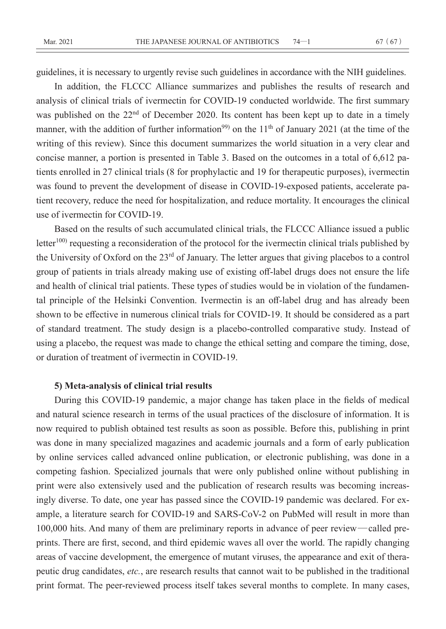guidelines, it is necessary to urgently revise such guidelines in accordance with the NIH guidelines.

In addition, the FLCCC Alliance summarizes and publishes the results of research and analysis of clinical trials of ivermectin for COVID-19 conducted worldwide. The first summary was published on the 22<sup>nd</sup> of December 2020. Its content has been kept up to date in a timely manner, with the addition of further information<sup>99)</sup> on the  $11<sup>th</sup>$  of January 2021 (at the time of the writing of this review). Since this document summarizes the world situation in a very clear and concise manner, a portion is presented in Table 3. Based on the outcomes in a total of 6,612 patients enrolled in 27 clinical trials (8 for prophylactic and 19 for therapeutic purposes), ivermectin was found to prevent the development of disease in COVID-19-exposed patients, accelerate patient recovery, reduce the need for hospitalization, and reduce mortality. It encourages the clinical use of ivermectin for COVID-19.

Based on the results of such accumulated clinical trials, the FLCCC Alliance issued a public letter<sup>100)</sup> requesting a reconsideration of the protocol for the ivermectin clinical trials published by the University of Oxford on the 23<sup>rd</sup> of January. The letter argues that giving placebos to a control group of patients in trials already making use of existing off-label drugs does not ensure the life and health of clinical trial patients. These types of studies would be in violation of the fundamental principle of the Helsinki Convention. Ivermectin is an off-label drug and has already been shown to be effective in numerous clinical trials for COVID-19. It should be considered as a part of standard treatment. The study design is a placebo-controlled comparative study. Instead of using a placebo, the request was made to change the ethical setting and compare the timing, dose, or duration of treatment of ivermectin in COVID-19.

### **5) Meta-analysis of clinical trial results**

During this COVID-19 pandemic, a major change has taken place in the fields of medical and natural science research in terms of the usual practices of the disclosure of information. It is now required to publish obtained test results as soon as possible. Before this, publishing in print was done in many specialized magazines and academic journals and a form of early publication by online services called advanced online publication, or electronic publishing, was done in a competing fashion. Specialized journals that were only published online without publishing in print were also extensively used and the publication of research results was becoming increasingly diverse. To date, one year has passed since the COVID-19 pandemic was declared. For example, a literature search for COVID-19 and SARS-CoV-2 on PubMed will result in more than 100,000 hits. And many of them are preliminary reports in advance of peer review—called preprints. There are first, second, and third epidemic waves all over the world. The rapidly changing areas of vaccine development, the emergence of mutant viruses, the appearance and exit of therapeutic drug candidates, *etc.*, are research results that cannot wait to be published in the traditional print format. The peer-reviewed process itself takes several months to complete. In many cases,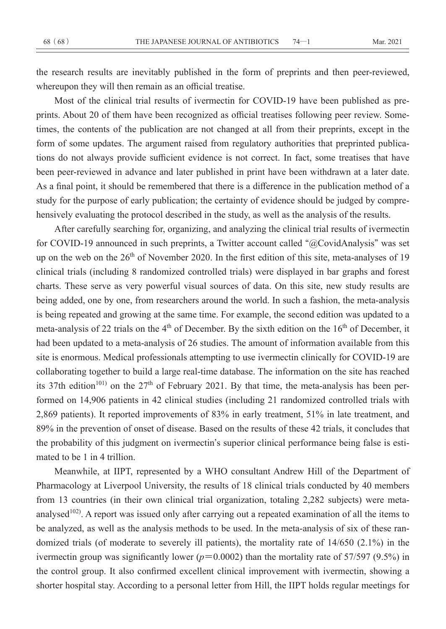the research results are inevitably published in the form of preprints and then peer-reviewed, whereupon they will then remain as an official treatise.

Most of the clinical trial results of ivermectin for COVID-19 have been published as preprints. About 20 of them have been recognized as official treatises following peer review. Sometimes, the contents of the publication are not changed at all from their preprints, except in the form of some updates. The argument raised from regulatory authorities that preprinted publications do not always provide sufficient evidence is not correct. In fact, some treatises that have been peer-reviewed in advance and later published in print have been withdrawn at a later date. As a final point, it should be remembered that there is a difference in the publication method of a study for the purpose of early publication; the certainty of evidence should be judged by comprehensively evaluating the protocol described in the study, as well as the analysis of the results.

After carefully searching for, organizing, and analyzing the clinical trial results of ivermectin for COVID-19 announced in such preprints, a Twitter account called **"**@CovidAnalysis**"** was set up on the web on the 26<sup>th</sup> of November 2020. In the first edition of this site, meta-analyses of 19 clinical trials (including 8 randomized controlled trials) were displayed in bar graphs and forest charts. These serve as very powerful visual sources of data. On this site, new study results are being added, one by one, from researchers around the world. In such a fashion, the meta-analysis is being repeated and growing at the same time. For example, the second edition was updated to a meta-analysis of 22 trials on the 4<sup>th</sup> of December. By the sixth edition on the 16<sup>th</sup> of December, it had been updated to a meta-analysis of 26 studies. The amount of information available from this site is enormous. Medical professionals attempting to use ivermectin clinically for COVID-19 are collaborating together to build a large real-time database. The information on the site has reached its 37th edition<sup>101)</sup> on the 27<sup>th</sup> of February 2021. By that time, the meta-analysis has been performed on 14,906 patients in 42 clinical studies (including 21 randomized controlled trials with 2,869 patients). It reported improvements of 83% in early treatment, 51% in late treatment, and 89% in the prevention of onset of disease. Based on the results of these 42 trials, it concludes that the probability of this judgment on ivermectin**'**s superior clinical performance being false is estimated to be 1 in 4 trillion.

Meanwhile, at IIPT, represented by a WHO consultant Andrew Hill of the Department of Pharmacology at Liverpool University, the results of 18 clinical trials conducted by 40 members from 13 countries (in their own clinical trial organization, totaling 2,282 subjects) were metaanalysed<sup>102)</sup>. A report was issued only after carrying out a repeated examination of all the items to be analyzed, as well as the analysis methods to be used. In the meta-analysis of six of these randomized trials (of moderate to severely ill patients), the mortality rate of 14/650 (2.1%) in the ivermectin group was significantly lower ( $p=0.0002$ ) than the mortality rate of 57/597 (9.5%) in the control group. It also confirmed excellent clinical improvement with ivermectin, showing a shorter hospital stay. According to a personal letter from Hill, the IIPT holds regular meetings for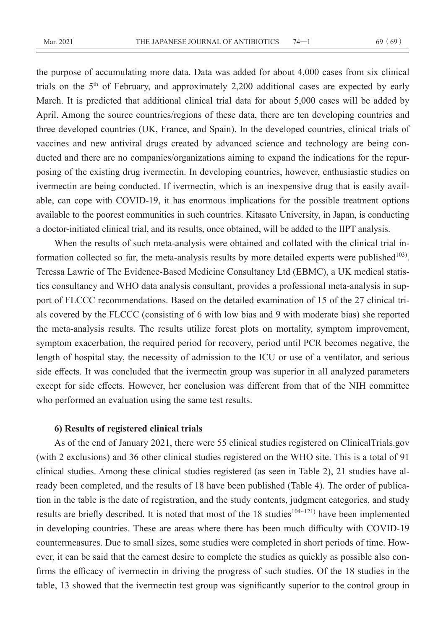the purpose of accumulating more data. Data was added for about 4,000 cases from six clinical trials on the 5th of February, and approximately 2,200 additional cases are expected by early March. It is predicted that additional clinical trial data for about 5,000 cases will be added by April. Among the source countries/regions of these data, there are ten developing countries and three developed countries (UK, France, and Spain). In the developed countries, clinical trials of vaccines and new antiviral drugs created by advanced science and technology are being conducted and there are no companies/organizations aiming to expand the indications for the repurposing of the existing drug ivermectin. In developing countries, however, enthusiastic studies on ivermectin are being conducted. If ivermectin, which is an inexpensive drug that is easily available, can cope with COVID-19, it has enormous implications for the possible treatment options available to the poorest communities in such countries. Kitasato University, in Japan, is conducting a doctor-initiated clinical trial, and its results, once obtained, will be added to the IIPT analysis.

When the results of such meta-analysis were obtained and collated with the clinical trial information collected so far, the meta-analysis results by more detailed experts were published $103$ . Teressa Lawrie of The Evidence-Based Medicine Consultancy Ltd (EBMC), a UK medical statistics consultancy and WHO data analysis consultant, provides a professional meta-analysis in support of FLCCC recommendations. Based on the detailed examination of 15 of the 27 clinical trials covered by the FLCCC (consisting of 6 with low bias and 9 with moderate bias) she reported the meta-analysis results. The results utilize forest plots on mortality, symptom improvement, symptom exacerbation, the required period for recovery, period until PCR becomes negative, the length of hospital stay, the necessity of admission to the ICU or use of a ventilator, and serious side effects. It was concluded that the ivermectin group was superior in all analyzed parameters except for side effects. However, her conclusion was different from that of the NIH committee who performed an evaluation using the same test results.

### **6) Results of registered clinical trials**

As of the end of January 2021, there were 55 clinical studies registered on ClinicalTrials.gov (with 2 exclusions) and 36 other clinical studies registered on the WHO site. This is a total of 91 clinical studies. Among these clinical studies registered (as seen in Table 2), 21 studies have already been completed, and the results of 18 have been published (Table 4). The order of publication in the table is the date of registration, and the study contents, judgment categories, and study results are briefly described. It is noted that most of the 18 studies<sup>104~121)</sup> have been implemented in developing countries. These are areas where there has been much difficulty with COVID-19 countermeasures. Due to small sizes, some studies were completed in short periods of time. However, it can be said that the earnest desire to complete the studies as quickly as possible also confirms the efficacy of ivermectin in driving the progress of such studies. Of the 18 studies in the table, 13 showed that the ivermectin test group was significantly superior to the control group in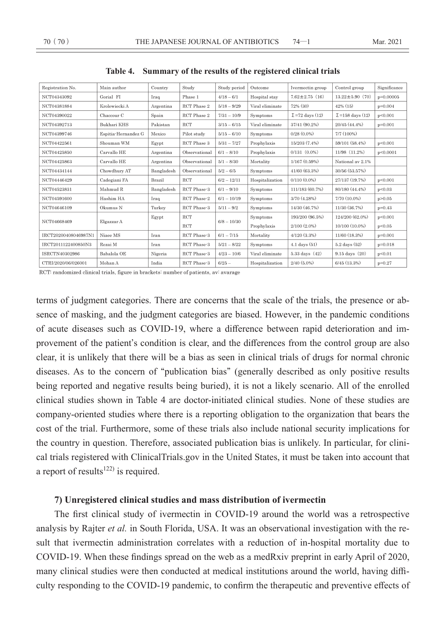| Registration No.     | Main author         | Country    | Study         | Study period  | Outcome         | Ivermectin group       | Control group           | Significance |
|----------------------|---------------------|------------|---------------|---------------|-----------------|------------------------|-------------------------|--------------|
| NCT04343092          | Gorial FI           | Iraq       | Phase 1       | $4/18 - 6/1$  | Hospital stay   | $7.62 \pm 2.75$ (16)   | $13.22 \pm 5.90$ (70)   | $p=0.00005$  |
| NCT04381884          | Krolewiecki A       | Argentina  | RCT Phase 2   | $5/18 - 9/29$ | Viral eliminate | 72% (30)               | $42\%$ (15)             | $p=0.004$    |
| NCT04390022          | Chaccour C          | Spain      | RCT Phase 2   | $7/31 - 10/9$ | Symptoms        | $\Sigma$ =72 days (12) | $\Sigma$ =158 days (12) | p<0.001      |
| NCT04392713          | Bukhari KHS         | Pakistan   | <b>RCT</b>    | $3/15 - 6/15$ | Viral eliminate | 37/41 (90.2%)          | 20/45 (44.4%)           | $p=0.001$    |
| NCT04399746          | Espitia-Hernandez G | Mexico     | Pilot study   | $5/15 - 6/10$ | Symptoms        | $0/28(0.0\%)$          | 7/7 (100%)              |              |
| NCT04422561          | Shouman WM          | Egypt      | RCT Phase 3   | $5/31 - 7/27$ | Prophylaxis     | 15/203 (7.4%)          | 59/101 (58.4%)          | p<0.001      |
| NCT04425850          | Carvallo HE         | Argentina  | Observational | $6/1 - 8/10$  | Prophylaxis     | $0/131$ $(0.0\%)$      | 11/98 (11.2%)           | p<0.0001     |
| NCT04425863          | Carvallo HE         | Argentina  | Observational | $5/1 - 8/30$  | Mortality       | 1/167(0.59%)           | National av 2.1%        |              |
| NCT04434144          | Chowdhury AT        | Bangladesh | Observational | $5/2 - 6/5$   | Symptoms        | 41/60 (63.3%)          | 30/56 (53.57%)          |              |
| NCT04446429          | Cadegiani FA        | Brazil     | <b>RCT</b>    | $6/2 - 12/11$ | Hospitalization | $0/110(0.0\%)$         | 27/137 (19.7%)          | p<0.001      |
| NCT04523831          | Mahmud R            | Bangladesh | RCT Phase-3   | $6/1 - 9/10$  | Symptoms        | 111/183 (60.7%)        | 80/180 (44.4%)          | p<0.03       |
| NCT04591600          | Hashim HA           | Iraq       | RCT Phase-2   | $6/1 - 10/19$ | Symptoms        | 3/70 (4.28%)           | 7/70 (10.0%)            | p > 0.05     |
| NCT04646109          | Okumus N            | Turkey     | RCT Phase-3   | $5/11 - 9/2$  | Symptoms        | 14/30 (46.7%)          | 11/30 (36.7%)           | $p=0.43$     |
|                      | Elgazzar A          | Egypt      | RCT           | $6/8 - 10/30$ | Symptoms        | 193/200 (96.5%)        | 124/200 (62.0%)         | p<0.001      |
| NCT04668469          |                     |            | RCT           |               | Prophylaxis     | 2/100 (2.0%)           | 10/100 (10.0%)          | p<0.05       |
| IRCT20200408046987N1 | Niaee MS            | Iran       | RCT Phase 3   | $6/1 - 7/15$  | Mortality       | 4/120(3.3%)            | 11/60 (18.3%)           | $p=0.001$    |
| IRCT2011122400850N3  | Rezai M             | Iran       | RCT Phase-3   | $5/21 - 8/22$ | Symptoms        | $4.1$ days $(51)$      | $5.2$ days $(52)$       | $p=0.018$    |
| ISRCTN40302986       | Babalola OE         | Nigeria    | RCT Phase-3   | $4/23 - 10/6$ | Viral eliminate | 5.33 days (42)         | 9.15 days (20)          | p<0.01       |
| CTRI/2020/06/026001  | Mohan A             | India      | RCT Phase 3   | $6/25 -$      | Hospitalization | $2/40(5.0\%)$          | $6/45$ $(13.3%)$        | $p=0.27$     |

**Table 4. Summary of the results of the registered clinical trials**

RCT: randomized clinical trials, figure in brackets: number of patients, av: avarage

terms of judgment categories. There are concerns that the scale of the trials, the presence or absence of masking, and the judgment categories are biased. However, in the pandemic conditions of acute diseases such as COVID-19, where a difference between rapid deterioration and improvement of the patient**'**s condition is clear, and the differences from the control group are also clear, it is unlikely that there will be a bias as seen in clinical trials of drugs for normal chronic diseases. As to the concern of **"**publication bias**"** (generally described as only positive results being reported and negative results being buried), it is not a likely scenario. All of the enrolled clinical studies shown in Table 4 are doctor-initiated clinical studies. None of these studies are company-oriented studies where there is a reporting obligation to the organization that bears the cost of the trial. Furthermore, some of these trials also include national security implications for the country in question. Therefore, associated publication bias is unlikely. In particular, for clinical trials registered with ClinicalTrials.gov in the United States, it must be taken into account that a report of results<sup>122)</sup> is required.

### **7) Unregistered clinical studies and mass distribution of ivermectin**

The first clinical study of ivermectin in COVID-19 around the world was a retrospective analysis by Rajter *et al.* in South Florida, USA. It was an observational investigation with the result that ivermectin administration correlates with a reduction of in-hospital mortality due to COVID-19. When these findings spread on the web as a medRxiv preprint in early April of 2020, many clinical studies were then conducted at medical institutions around the world, having difficulty responding to the COVID-19 pandemic, to confirm the therapeutic and preventive effects of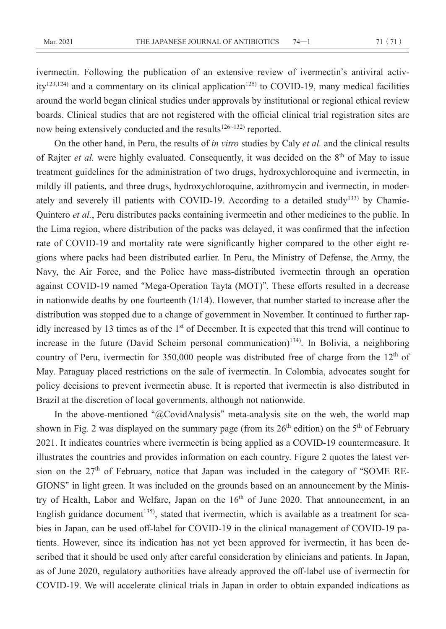ivermectin. Following the publication of an extensive review of ivermectin**'**s antiviral activity<sup>123,124)</sup> and a commentary on its clinical application<sup>125)</sup> to COVID-19, many medical facilities around the world began clinical studies under approvals by institutional or regional ethical review boards. Clinical studies that are not registered with the official clinical trial registration sites are now being extensively conducted and the results<sup>126~132)</sup> reported.

On the other hand, in Peru, the results of *in vitro* studies by Caly *et al.* and the clinical results of Rajter *et al.* were highly evaluated. Consequently, it was decided on the 8<sup>th</sup> of May to issue treatment guidelines for the administration of two drugs, hydroxychloroquine and ivermectin, in mildly ill patients, and three drugs, hydroxychloroquine, azithromycin and ivermectin, in moderately and severely ill patients with COVID-19. According to a detailed study<sup>133)</sup> by Chamie-Quintero *et al.*, Peru distributes packs containing ivermectin and other medicines to the public. In the Lima region, where distribution of the packs was delayed, it was confirmed that the infection rate of COVID-19 and mortality rate were significantly higher compared to the other eight regions where packs had been distributed earlier. In Peru, the Ministry of Defense, the Army, the Navy, the Air Force, and the Police have mass-distributed ivermectin through an operation against COVID-19 named **"**Mega-Operation Tayta (MOT)**"**. These efforts resulted in a decrease in nationwide deaths by one fourteenth (1/14). However, that number started to increase after the distribution was stopped due to a change of government in November. It continued to further rapidly increased by 13 times as of the 1<sup>st</sup> of December. It is expected that this trend will continue to increase in the future (David Scheim personal communication)<sup>134)</sup>. In Bolivia, a neighboring country of Peru, ivermectin for  $350,000$  people was distributed free of charge from the  $12<sup>th</sup>$  of May. Paraguay placed restrictions on the sale of ivermectin. In Colombia, advocates sought for policy decisions to prevent ivermectin abuse. It is reported that ivermectin is also distributed in Brazil at the discretion of local governments, although not nationwide.

In the above-mentioned **"**@CovidAnalysis**"** meta-analysis site on the web, the world map shown in Fig. 2 was displayed on the summary page (from its  $26<sup>th</sup>$  edition) on the  $5<sup>th</sup>$  of February 2021. It indicates countries where ivermectin is being applied as a COVID-19 countermeasure. It illustrates the countries and provides information on each country. Figure 2 quotes the latest version on the 27th of February, notice that Japan was included in the category of **"**SOME RE-GIONS**"** in light green. It was included on the grounds based on an announcement by the Ministry of Health, Labor and Welfare, Japan on the  $16<sup>th</sup>$  of June 2020. That announcement, in an English guidance document<sup>135)</sup>, stated that ivermectin, which is available as a treatment for scabies in Japan, can be used off-label for COVID-19 in the clinical management of COVID-19 patients. However, since its indication has not yet been approved for ivermectin, it has been described that it should be used only after careful consideration by clinicians and patients. In Japan, as of June 2020, regulatory authorities have already approved the off-label use of ivermectin for COVID-19. We will accelerate clinical trials in Japan in order to obtain expanded indications as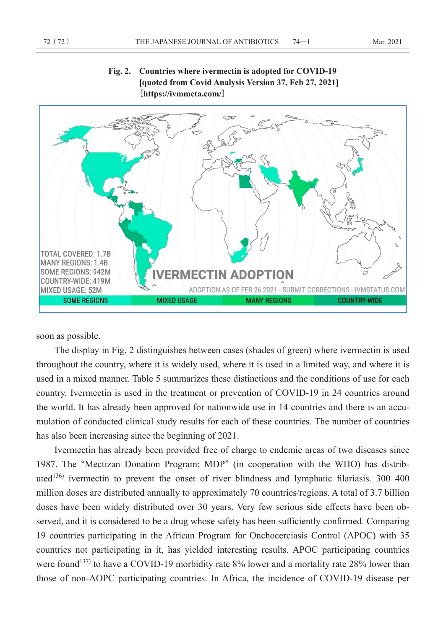

**Fig. 2. Countries where ivermectin is adopted for COVID-19 [quoted from Covid Analysis Version 37, Feb 27, 2021] 〔https://ivmmeta.com/〕**

soon as possible.

The display in Fig. 2 distinguishes between cases (shades of green) where ivermectin is used throughout the country, where it is widely used, where it is used in a limited way, and where it is used in a mixed manner. Table 5 summarizes these distinctions and the conditions of use for each country. Ivermectin is used in the treatment or prevention of COVID-19 in 24 countries around the world. It has already been approved for nationwide use in 14 countries and there is an accumulation of conducted clinical study results for each of these countries. The number of countries has also been increasing since the beginning of 2021.

Ivermectin has already been provided free of charge to endemic areas of two diseases since 1987. The **"**Mectizan Donation Program; MDP**"** (in cooperation with the WHO) has distributed<sup>136)</sup> ivermectin to prevent the onset of river blindness and lymphatic filariasis.  $300-400$ million doses are distributed annually to approximately 70 countries/regions. A total of 3.7 billion doses have been widely distributed over 30 years. Very few serious side effects have been observed, and it is considered to be a drug whose safety has been sufficiently confirmed. Comparing 19 countries participating in the African Program for Onchocerciasis Control (APOC) with 35 countries not participating in it, has yielded interesting results. APOC participating countries were found<sup>137)</sup> to have a COVID-19 morbidity rate 8% lower and a mortality rate 28% lower than those of non-AOPC participating countries. In Africa, the incidence of COVID-19 disease per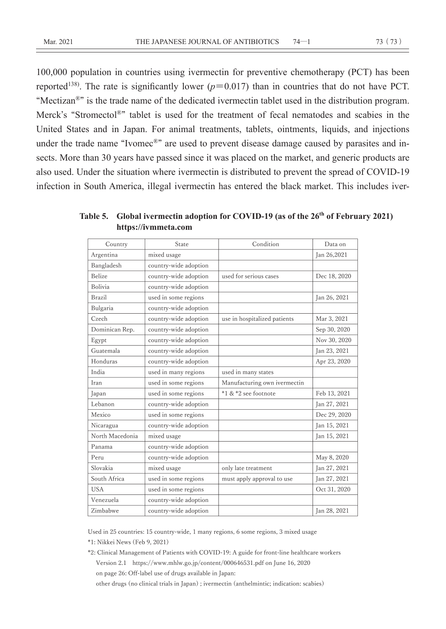100,000 population in countries using ivermectin for preventive chemotherapy (PCT) has been reported<sup>138)</sup>. The rate is significantly lower  $(p=0.017)$  than in countries that do not have PCT. **"**Mectizan®**"** is the trade name of the dedicated ivermectin tablet used in the distribution program. Merck**'**s **"**Stromectol®**"** tablet is used for the treatment of fecal nematodes and scabies in the United States and in Japan. For animal treatments, tablets, ointments, liquids, and injections under the trade name **"**Ivomec®**"** are used to prevent disease damage caused by parasites and insects. More than 30 years have passed since it was placed on the market, and generic products are also used. Under the situation where ivermectin is distributed to prevent the spread of COVID-19 infection in South America, illegal ivermectin has entered the black market. This includes iver-

| Country         | State                 | Condition                    | Data on      |
|-----------------|-----------------------|------------------------------|--------------|
| Argentina       | mixed usage           |                              | Jan 26,2021  |
| Bangladesh      | country-wide adoption |                              |              |
| Belize          | country-wide adoption | used for serious cases       | Dec 18, 2020 |
| Bolivia         | country-wide adoption |                              |              |
| Brazil          | used in some regions  |                              | Jan 26, 2021 |
| Bulgaria        | country-wide adoption |                              |              |
| Czech           | country-wide adoption | use in hospitalized patients | Mar 3, 2021  |
| Dominican Rep.  | country-wide adoption |                              | Sep 30, 2020 |
| Egypt           | country-wide adoption |                              | Nov 30, 2020 |
| Guatemala       | country-wide adoption |                              | Jan 23, 2021 |
| Honduras        | country-wide adoption |                              | Apr 23, 2020 |
| India           | used in many regions  | used in many states          |              |
| Iran            | used in some regions  | Manufacturing own ivermectin |              |
| Japan           | used in some regions  | *1 & *2 see footnote         | Feb 13, 2021 |
| Lebanon         | country-wide adoption |                              | Jan 27, 2021 |
| Mexico          | used in some regions  |                              | Dec 29, 2020 |
| Nicaragua       | country-wide adoption |                              | Jan 15, 2021 |
| North Macedonia | mixed usage           |                              | Jan 15, 2021 |
| Panama          | country-wide adoption |                              |              |
| Peru            | country-wide adoption |                              | May 8, 2020  |
| Slovakia        | mixed usage           | only late treatment          | Jan 27, 2021 |
| South Africa    | used in some regions  | must apply approval to use   | Jan 27, 2021 |
| <b>USA</b>      | used in some regions  |                              | Oct 31, 2020 |
| Venezuela       | country-wide adoption |                              |              |
| Zimbabwe        | country-wide adoption |                              | Jan 28, 2021 |

Table 5. Global ivermectin adoption for COVID-19 (as of the 26<sup>th</sup> of February 2021) **https://ivmmeta.com**

Used in 25 countries: 15 country-wide, 1 many regions, 6 some regions, 3 mixed usage

\*1: Nikkei News (Feb 9, 2021)

\*2: Clinical Management of Patients with COVID-19: A guide for front-line healthcare workers Version 2.1 https://www.mhlw.go.jp/content/000646531.pdf on June 16, 2020 on page 26: Off-label use of drugs available in Japan:

other drugs (no clinical trials in Japan) ; ivermectin (anthelmintic; indication: scabies)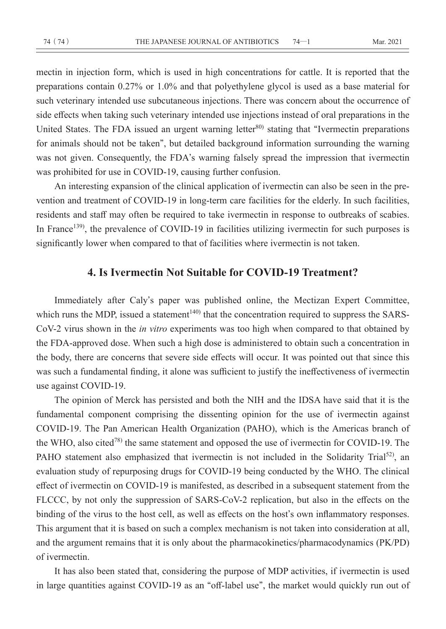mectin in injection form, which is used in high concentrations for cattle. It is reported that the preparations contain 0.27% or 1.0% and that polyethylene glycol is used as a base material for such veterinary intended use subcutaneous injections. There was concern about the occurrence of side effects when taking such veterinary intended use injections instead of oral preparations in the United States. The FDA issued an urgent warning letter<sup>80)</sup> stating that "Ivermectin preparations" for animals should not be taken**"**, but detailed background information surrounding the warning was not given. Consequently, the FDA**'**s warning falsely spread the impression that ivermectin was prohibited for use in COVID-19, causing further confusion.

An interesting expansion of the clinical application of ivermectin can also be seen in the prevention and treatment of COVID-19 in long-term care facilities for the elderly. In such facilities, residents and staff may often be required to take ivermectin in response to outbreaks of scabies. In France<sup>139</sup>, the prevalence of COVID-19 in facilities utilizing ivermectin for such purposes is significantly lower when compared to that of facilities where ivermectin is not taken.

# **4. Is Ivermectin Not Suitable for COVID-19 Treatment?**

Immediately after Caly**'**s paper was published online, the Mectizan Expert Committee, which runs the MDP, issued a statement<sup>140)</sup> that the concentration required to suppress the SARS-CoV-2 virus shown in the *in vitro* experiments was too high when compared to that obtained by the FDA-approved dose. When such a high dose is administered to obtain such a concentration in the body, there are concerns that severe side effects will occur. It was pointed out that since this was such a fundamental finding, it alone was sufficient to justify the ineffectiveness of ivermectin use against COVID-19.

The opinion of Merck has persisted and both the NIH and the IDSA have said that it is the fundamental component comprising the dissenting opinion for the use of ivermectin against COVID-19. The Pan American Health Organization (PAHO), which is the Americas branch of the WHO, also cited<sup>78)</sup> the same statement and opposed the use of ivermectin for COVID-19. The PAHO statement also emphasized that ivermectin is not included in the Solidarity Trial<sup>52</sup>, an evaluation study of repurposing drugs for COVID-19 being conducted by the WHO. The clinical effect of ivermectin on COVID-19 is manifested, as described in a subsequent statement from the FLCCC, by not only the suppression of SARS-CoV-2 replication, but also in the effects on the binding of the virus to the host cell, as well as effects on the host**'**s own inflammatory responses. This argument that it is based on such a complex mechanism is not taken into consideration at all, and the argument remains that it is only about the pharmacokinetics/pharmacodynamics (PK/PD) of ivermectin.

It has also been stated that, considering the purpose of MDP activities, if ivermectin is used in large quantities against COVID-19 as an **"**off-label use**"**, the market would quickly run out of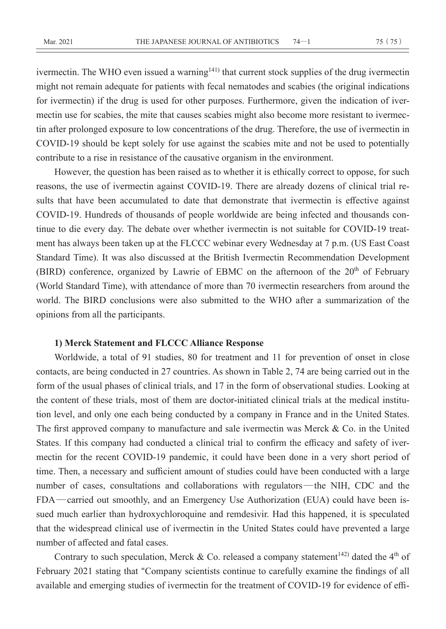ivermectin. The WHO even issued a warning<sup>141)</sup> that current stock supplies of the drug ivermectin might not remain adequate for patients with fecal nematodes and scabies (the original indications for ivermectin) if the drug is used for other purposes. Furthermore, given the indication of ivermectin use for scabies, the mite that causes scabies might also become more resistant to ivermectin after prolonged exposure to low concentrations of the drug. Therefore, the use of ivermectin in COVID-19 should be kept solely for use against the scabies mite and not be used to potentially contribute to a rise in resistance of the causative organism in the environment.

However, the question has been raised as to whether it is ethically correct to oppose, for such reasons, the use of ivermectin against COVID-19. There are already dozens of clinical trial results that have been accumulated to date that demonstrate that ivermectin is effective against COVID-19. Hundreds of thousands of people worldwide are being infected and thousands continue to die every day. The debate over whether ivermectin is not suitable for COVID-19 treatment has always been taken up at the FLCCC webinar every Wednesday at 7 p.m. (US East Coast Standard Time). It was also discussed at the British Ivermectin Recommendation Development (BIRD) conference, organized by Lawrie of EBMC on the afternoon of the  $20<sup>th</sup>$  of February (World Standard Time), with attendance of more than 70 ivermectin researchers from around the world. The BIRD conclusions were also submitted to the WHO after a summarization of the opinions from all the participants.

### **1) Merck Statement and FLCCC Alliance Response**

Worldwide, a total of 91 studies, 80 for treatment and 11 for prevention of onset in close contacts, are being conducted in 27 countries. As shown in Table 2, 74 are being carried out in the form of the usual phases of clinical trials, and 17 in the form of observational studies. Looking at the content of these trials, most of them are doctor-initiated clinical trials at the medical institution level, and only one each being conducted by a company in France and in the United States. The first approved company to manufacture and sale ivermectin was Merck & Co. in the United States. If this company had conducted a clinical trial to confirm the efficacy and safety of ivermectin for the recent COVID-19 pandemic, it could have been done in a very short period of time. Then, a necessary and sufficient amount of studies could have been conducted with a large number of cases, consultations and collaborations with regulators—the NIH, CDC and the FDA—carried out smoothly, and an Emergency Use Authorization (EUA) could have been issued much earlier than hydroxychloroquine and remdesivir. Had this happened, it is speculated that the widespread clinical use of ivermectin in the United States could have prevented a large number of affected and fatal cases.

Contrary to such speculation, Merck & Co. released a company statement<sup>142)</sup> dated the 4<sup>th</sup> of February 2021 stating that **"**Company scientists continue to carefully examine the findings of all available and emerging studies of ivermectin for the treatment of COVID-19 for evidence of effi-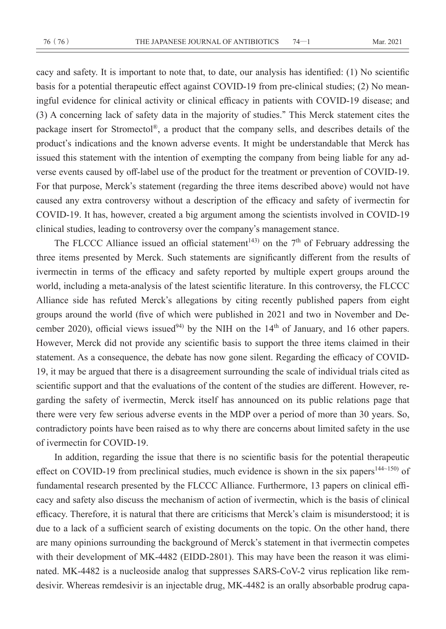cacy and safety. It is important to note that, to date, our analysis has identified: (1) No scientific basis for a potential therapeutic effect against COVID-19 from pre-clinical studies; (2) No meaningful evidence for clinical activity or clinical efficacy in patients with COVID-19 disease; and (3) A concerning lack of safety data in the majority of studies.**"** This Merck statement cites the package insert for Stromectol®, a product that the company sells, and describes details of the product**'**s indications and the known adverse events. It might be understandable that Merck has issued this statement with the intention of exempting the company from being liable for any adverse events caused by off-label use of the product for the treatment or prevention of COVID-19. For that purpose, Merck**'**s statement (regarding the three items described above) would not have caused any extra controversy without a description of the efficacy and safety of ivermectin for COVID-19. It has, however, created a big argument among the scientists involved in COVID-19 clinical studies, leading to controversy over the company**'**s management stance.

The FLCCC Alliance issued an official statement<sup>143)</sup> on the  $7<sup>th</sup>$  of February addressing the three items presented by Merck. Such statements are significantly different from the results of ivermectin in terms of the efficacy and safety reported by multiple expert groups around the world, including a meta-analysis of the latest scientific literature. In this controversy, the FLCCC Alliance side has refuted Merck**'**s allegations by citing recently published papers from eight groups around the world (five of which were published in 2021 and two in November and December 2020), official views issued<sup>94)</sup> by the NIH on the  $14<sup>th</sup>$  of January, and 16 other papers. However, Merck did not provide any scientific basis to support the three items claimed in their statement. As a consequence, the debate has now gone silent. Regarding the efficacy of COVID-19, it may be argued that there is a disagreement surrounding the scale of individual trials cited as scientific support and that the evaluations of the content of the studies are different. However, regarding the safety of ivermectin, Merck itself has announced on its public relations page that there were very few serious adverse events in the MDP over a period of more than 30 years. So, contradictory points have been raised as to why there are concerns about limited safety in the use of ivermectin for COVID-19.

In addition, regarding the issue that there is no scientific basis for the potential therapeutic effect on COVID-19 from preclinical studies, much evidence is shown in the six papers<sup>144~150</sup> of fundamental research presented by the FLCCC Alliance. Furthermore, 13 papers on clinical efficacy and safety also discuss the mechanism of action of ivermectin, which is the basis of clinical efficacy. Therefore, it is natural that there are criticisms that Merck**'**s claim is misunderstood; it is due to a lack of a sufficient search of existing documents on the topic. On the other hand, there are many opinions surrounding the background of Merck**'**s statement in that ivermectin competes with their development of MK-4482 (EIDD-2801). This may have been the reason it was eliminated. MK-4482 is a nucleoside analog that suppresses SARS-CoV-2 virus replication like remdesivir. Whereas remdesivir is an injectable drug, MK-4482 is an orally absorbable prodrug capa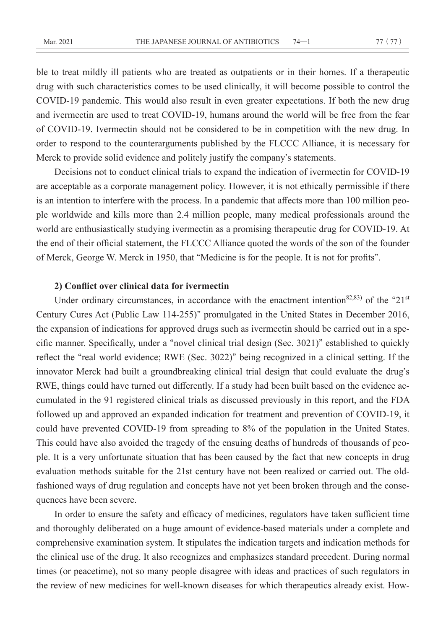ble to treat mildly ill patients who are treated as outpatients or in their homes. If a therapeutic drug with such characteristics comes to be used clinically, it will become possible to control the COVID-19 pandemic. This would also result in even greater expectations. If both the new drug and ivermectin are used to treat COVID-19, humans around the world will be free from the fear of COVID-19. Ivermectin should not be considered to be in competition with the new drug. In order to respond to the counterarguments published by the FLCCC Alliance, it is necessary for Merck to provide solid evidence and politely justify the company**'**s statements.

Decisions not to conduct clinical trials to expand the indication of ivermectin for COVID-19 are acceptable as a corporate management policy. However, it is not ethically permissible if there is an intention to interfere with the process. In a pandemic that affects more than 100 million people worldwide and kills more than 2.4 million people, many medical professionals around the world are enthusiastically studying ivermectin as a promising therapeutic drug for COVID-19. At the end of their official statement, the FLCCC Alliance quoted the words of the son of the founder of Merck, George W. Merck in 1950, that **"**Medicine is for the people. It is not for profits**"**.

### **2) Conflict over clinical data for ivermectin**

Under ordinary circumstances, in accordance with the enactment intention82,83) of the **"**21st Century Cures Act (Public Law 114-255)**"** promulgated in the United States in December 2016, the expansion of indications for approved drugs such as ivermectin should be carried out in a specific manner. Specifically, under a **"**novel clinical trial design (Sec. 3021)**"** established to quickly reflect the **"**real world evidence; RWE (Sec. 3022)**"** being recognized in a clinical setting. If the innovator Merck had built a groundbreaking clinical trial design that could evaluate the drug**'**s RWE, things could have turned out differently. If a study had been built based on the evidence accumulated in the 91 registered clinical trials as discussed previously in this report, and the FDA followed up and approved an expanded indication for treatment and prevention of COVID-19, it could have prevented COVID-19 from spreading to 8% of the population in the United States. This could have also avoided the tragedy of the ensuing deaths of hundreds of thousands of people. It is a very unfortunate situation that has been caused by the fact that new concepts in drug evaluation methods suitable for the 21st century have not been realized or carried out. The oldfashioned ways of drug regulation and concepts have not yet been broken through and the consequences have been severe.

In order to ensure the safety and efficacy of medicines, regulators have taken sufficient time and thoroughly deliberated on a huge amount of evidence-based materials under a complete and comprehensive examination system. It stipulates the indication targets and indication methods for the clinical use of the drug. It also recognizes and emphasizes standard precedent. During normal times (or peacetime), not so many people disagree with ideas and practices of such regulators in the review of new medicines for well-known diseases for which therapeutics already exist. How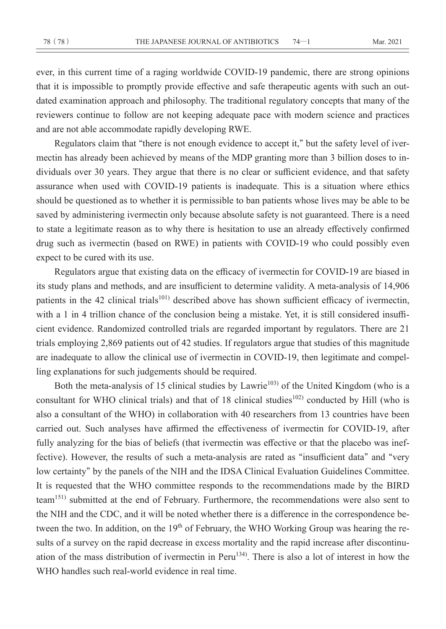ever, in this current time of a raging worldwide COVID-19 pandemic, there are strong opinions that it is impossible to promptly provide effective and safe therapeutic agents with such an outdated examination approach and philosophy. The traditional regulatory concepts that many of the reviewers continue to follow are not keeping adequate pace with modern science and practices and are not able accommodate rapidly developing RWE.

Regulators claim that **"**there is not enough evidence to accept it,**"** but the safety level of ivermectin has already been achieved by means of the MDP granting more than 3 billion doses to individuals over 30 years. They argue that there is no clear or sufficient evidence, and that safety assurance when used with COVID-19 patients is inadequate. This is a situation where ethics should be questioned as to whether it is permissible to ban patients whose lives may be able to be saved by administering ivermectin only because absolute safety is not guaranteed. There is a need to state a legitimate reason as to why there is hesitation to use an already effectively confirmed drug such as ivermectin (based on RWE) in patients with COVID-19 who could possibly even expect to be cured with its use.

Regulators argue that existing data on the efficacy of ivermectin for COVID-19 are biased in its study plans and methods, and are insufficient to determine validity. A meta-analysis of 14,906 patients in the 42 clinical trials<sup>101)</sup> described above has shown sufficient efficacy of ivermectin, with a 1 in 4 trillion chance of the conclusion being a mistake. Yet, it is still considered insufficient evidence. Randomized controlled trials are regarded important by regulators. There are 21 trials employing 2,869 patients out of 42 studies. If regulators argue that studies of this magnitude are inadequate to allow the clinical use of ivermectin in COVID-19, then legitimate and compelling explanations for such judgements should be required.

Both the meta-analysis of 15 clinical studies by Lawrie<sup>103)</sup> of the United Kingdom (who is a consultant for WHO clinical trials) and that of 18 clinical studies<sup>102)</sup> conducted by Hill (who is also a consultant of the WHO) in collaboration with 40 researchers from 13 countries have been carried out. Such analyses have affirmed the effectiveness of ivermectin for COVID-19, after fully analyzing for the bias of beliefs (that ivermectin was effective or that the placebo was ineffective). However, the results of such a meta-analysis are rated as **"**insufficient data**"** and **"**very low certainty**"** by the panels of the NIH and the IDSA Clinical Evaluation Guidelines Committee. It is requested that the WHO committee responds to the recommendations made by the BIRD team151) submitted at the end of February. Furthermore, the recommendations were also sent to the NIH and the CDC, and it will be noted whether there is a difference in the correspondence between the two. In addition, on the 19<sup>th</sup> of February, the WHO Working Group was hearing the results of a survey on the rapid decrease in excess mortality and the rapid increase after discontinuation of the mass distribution of ivermectin in Peru<sup>134)</sup>. There is also a lot of interest in how the WHO handles such real-world evidence in real time.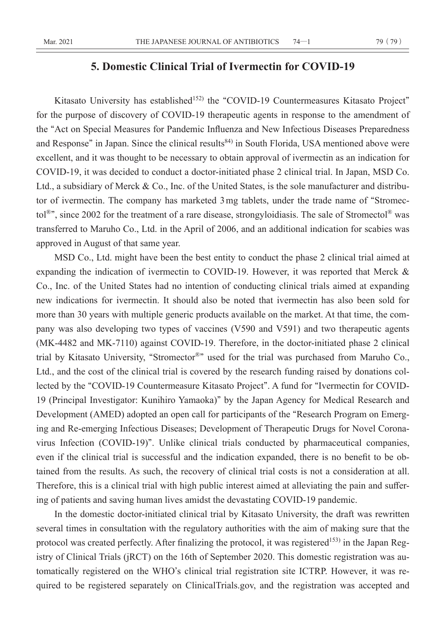# **5. Domestic Clinical Trial of Ivermectin for COVID-19**

Kitasato University has established<sup>152)</sup> the "COVID-19 Countermeasures Kitasato Project" for the purpose of discovery of COVID-19 therapeutic agents in response to the amendment of the **"**Act on Special Measures for Pandemic Influenza and New Infectious Diseases Preparedness and Response" in Japan. Since the clinical results<sup>84)</sup> in South Florida, USA mentioned above were excellent, and it was thought to be necessary to obtain approval of ivermectin as an indication for COVID-19, it was decided to conduct a doctor-initiated phase 2 clinical trial. In Japan, MSD Co. Ltd., a subsidiary of Merck & Co., Inc. of the United States, is the sole manufacturer and distributor of ivermectin. The company has marketed 3 mg tablets, under the trade name of **"**Stromectol®**"**, since 2002 for the treatment of a rare disease, strongyloidiasis. The sale of Stromectol® was transferred to Maruho Co., Ltd. in the April of 2006, and an additional indication for scabies was approved in August of that same year.

MSD Co., Ltd. might have been the best entity to conduct the phase 2 clinical trial aimed at expanding the indication of ivermectin to COVID-19. However, it was reported that Merck & Co., Inc. of the United States had no intention of conducting clinical trials aimed at expanding new indications for ivermectin. It should also be noted that ivermectin has also been sold for more than 30 years with multiple generic products available on the market. At that time, the company was also developing two types of vaccines (V590 and V591) and two therapeutic agents (MK-4482 and MK-7110) against COVID-19. Therefore, in the doctor-initiated phase 2 clinical trial by Kitasato University, **"**Stromector®**"** used for the trial was purchased from Maruho Co., Ltd., and the cost of the clinical trial is covered by the research funding raised by donations collected by the **"**COVID-19 Countermeasure Kitasato Project**"**. A fund for **"**Ivermectin for COVID-19 (Principal Investigator: Kunihiro Yamaoka)**"** by the Japan Agency for Medical Research and Development (AMED) adopted an open call for participants of the **"**Research Program on Emerging and Re-emerging Infectious Diseases; Development of Therapeutic Drugs for Novel Coronavirus Infection (COVID-19)**"**. Unlike clinical trials conducted by pharmaceutical companies, even if the clinical trial is successful and the indication expanded, there is no benefit to be obtained from the results. As such, the recovery of clinical trial costs is not a consideration at all. Therefore, this is a clinical trial with high public interest aimed at alleviating the pain and suffering of patients and saving human lives amidst the devastating COVID-19 pandemic.

In the domestic doctor-initiated clinical trial by Kitasato University, the draft was rewritten several times in consultation with the regulatory authorities with the aim of making sure that the protocol was created perfectly. After finalizing the protocol, it was registered<sup>153)</sup> in the Japan Registry of Clinical Trials (jRCT) on the 16th of September 2020. This domestic registration was automatically registered on the WHO**'**s clinical trial registration site ICTRP. However, it was required to be registered separately on ClinicalTrials.gov, and the registration was accepted and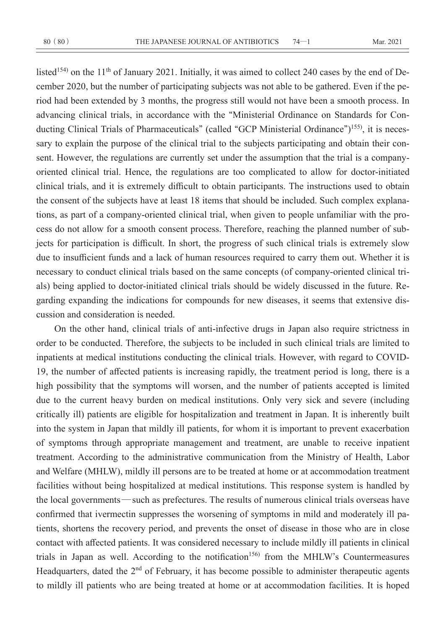listed<sup>154)</sup> on the 11<sup>th</sup> of January 2021. Initially, it was aimed to collect 240 cases by the end of December 2020, but the number of participating subjects was not able to be gathered. Even if the period had been extended by 3 months, the progress still would not have been a smooth process. In advancing clinical trials, in accordance with the **"**Ministerial Ordinance on Standards for Conducting Clinical Trials of Pharmaceuticals**"** (called **"**GCP Ministerial Ordinance**"**) 155), it is necessary to explain the purpose of the clinical trial to the subjects participating and obtain their consent. However, the regulations are currently set under the assumption that the trial is a companyoriented clinical trial. Hence, the regulations are too complicated to allow for doctor-initiated clinical trials, and it is extremely difficult to obtain participants. The instructions used to obtain the consent of the subjects have at least 18 items that should be included. Such complex explanations, as part of a company-oriented clinical trial, when given to people unfamiliar with the process do not allow for a smooth consent process. Therefore, reaching the planned number of subjects for participation is difficult. In short, the progress of such clinical trials is extremely slow due to insufficient funds and a lack of human resources required to carry them out. Whether it is necessary to conduct clinical trials based on the same concepts (of company-oriented clinical trials) being applied to doctor-initiated clinical trials should be widely discussed in the future. Regarding expanding the indications for compounds for new diseases, it seems that extensive discussion and consideration is needed.

On the other hand, clinical trials of anti-infective drugs in Japan also require strictness in order to be conducted. Therefore, the subjects to be included in such clinical trials are limited to inpatients at medical institutions conducting the clinical trials. However, with regard to COVID-19, the number of affected patients is increasing rapidly, the treatment period is long, there is a high possibility that the symptoms will worsen, and the number of patients accepted is limited due to the current heavy burden on medical institutions. Only very sick and severe (including critically ill) patients are eligible for hospitalization and treatment in Japan. It is inherently built into the system in Japan that mildly ill patients, for whom it is important to prevent exacerbation of symptoms through appropriate management and treatment, are unable to receive inpatient treatment. According to the administrative communication from the Ministry of Health, Labor and Welfare (MHLW), mildly ill persons are to be treated at home or at accommodation treatment facilities without being hospitalized at medical institutions. This response system is handled by the local governments—such as prefectures. The results of numerous clinical trials overseas have confirmed that ivermectin suppresses the worsening of symptoms in mild and moderately ill patients, shortens the recovery period, and prevents the onset of disease in those who are in close contact with affected patients. It was considered necessary to include mildly ill patients in clinical trials in Japan as well. According to the notification<sup>156)</sup> from the MHLW's Countermeasures Headquarters, dated the 2<sup>nd</sup> of February, it has become possible to administer therapeutic agents to mildly ill patients who are being treated at home or at accommodation facilities. It is hoped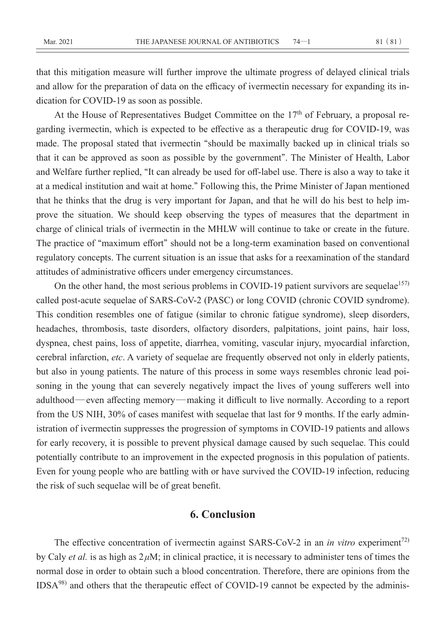that this mitigation measure will further improve the ultimate progress of delayed clinical trials and allow for the preparation of data on the efficacy of ivermectin necessary for expanding its indication for COVID-19 as soon as possible.

At the House of Representatives Budget Committee on the  $17<sup>th</sup>$  of February, a proposal regarding ivermectin, which is expected to be effective as a therapeutic drug for COVID-19, was made. The proposal stated that ivermectin **"**should be maximally backed up in clinical trials so that it can be approved as soon as possible by the government**"**. The Minister of Health, Labor and Welfare further replied, **"**It can already be used for off-label use. There is also a way to take it at a medical institution and wait at home.**"** Following this, the Prime Minister of Japan mentioned that he thinks that the drug is very important for Japan, and that he will do his best to help improve the situation. We should keep observing the types of measures that the department in charge of clinical trials of ivermectin in the MHLW will continue to take or create in the future. The practice of **"**maximum effort**"** should not be a long-term examination based on conventional regulatory concepts. The current situation is an issue that asks for a reexamination of the standard attitudes of administrative officers under emergency circumstances.

On the other hand, the most serious problems in COVID-19 patient survivors are sequelae $157$ ) called post-acute sequelae of SARS-CoV-2 (PASC) or long COVID (chronic COVID syndrome). This condition resembles one of fatigue (similar to chronic fatigue syndrome), sleep disorders, headaches, thrombosis, taste disorders, olfactory disorders, palpitations, joint pains, hair loss, dyspnea, chest pains, loss of appetite, diarrhea, vomiting, vascular injury, myocardial infarction, cerebral infarction, *etc*. A variety of sequelae are frequently observed not only in elderly patients, but also in young patients. The nature of this process in some ways resembles chronic lead poisoning in the young that can severely negatively impact the lives of young sufferers well into adulthood—even affecting memory—making it difficult to live normally. According to a report from the US NIH, 30% of cases manifest with sequelae that last for 9 months. If the early administration of ivermectin suppresses the progression of symptoms in COVID-19 patients and allows for early recovery, it is possible to prevent physical damage caused by such sequelae. This could potentially contribute to an improvement in the expected prognosis in this population of patients. Even for young people who are battling with or have survived the COVID-19 infection, reducing the risk of such sequelae will be of great benefit.

## **6. Conclusion**

The effective concentration of ivermectin against SARS-CoV-2 in an *in vitro* experiment<sup>72)</sup> by Caly *et al.* is as high as  $2 \mu M$ ; in clinical practice, it is necessary to administer tens of times the normal dose in order to obtain such a blood concentration. Therefore, there are opinions from the IDSA98) and others that the therapeutic effect of COVID-19 cannot be expected by the adminis-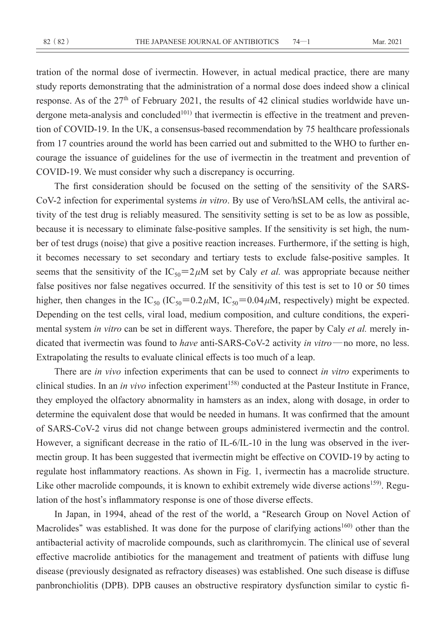tration of the normal dose of ivermectin. However, in actual medical practice, there are many study reports demonstrating that the administration of a normal dose does indeed show a clinical response. As of the 27<sup>th</sup> of February 2021, the results of 42 clinical studies worldwide have undergone meta-analysis and concluded<sup>101)</sup> that ivermectin is effective in the treatment and prevention of COVID-19. In the UK, a consensus-based recommendation by 75 healthcare professionals from 17 countries around the world has been carried out and submitted to the WHO to further encourage the issuance of guidelines for the use of ivermectin in the treatment and prevention of COVID-19. We must consider why such a discrepancy is occurring.

The first consideration should be focused on the setting of the sensitivity of the SARS-CoV-2 infection for experimental systems *in vitro*. By use of Vero/hSLAM cells, the antiviral activity of the test drug is reliably measured. The sensitivity setting is set to be as low as possible, because it is necessary to eliminate false-positive samples. If the sensitivity is set high, the number of test drugs (noise) that give a positive reaction increases. Furthermore, if the setting is high, it becomes necessary to set secondary and tertiary tests to exclude false-positive samples. It seems that the sensitivity of the  $IC_{50} = 2 \mu M$  set by Caly *et al.* was appropriate because neither false positives nor false negatives occurred. If the sensitivity of this test is set to 10 or 50 times higher, then changes in the  $IC_{50}$   $(IC_{50} = 0.2 \mu M, IC_{50} = 0.04 \mu M,$  respectively) might be expected. Depending on the test cells, viral load, medium composition, and culture conditions, the experimental system *in vitro* can be set in different ways. Therefore, the paper by Caly *et al.* merely indicated that ivermectin was found to *have* anti-SARS-CoV-2 activity *in vitro*—no more, no less. Extrapolating the results to evaluate clinical effects is too much of a leap.

There are *in vivo* infection experiments that can be used to connect *in vitro* experiments to clinical studies. In an *in vivo* infection experiment<sup>158)</sup> conducted at the Pasteur Institute in France, they employed the olfactory abnormality in hamsters as an index, along with dosage, in order to determine the equivalent dose that would be needed in humans. It was confirmed that the amount of SARS-CoV-2 virus did not change between groups administered ivermectin and the control. However, a significant decrease in the ratio of IL-6/IL-10 in the lung was observed in the ivermectin group. It has been suggested that ivermectin might be effective on COVID-19 by acting to regulate host inflammatory reactions. As shown in Fig. 1, ivermectin has a macrolide structure. Like other macrolide compounds, it is known to exhibit extremely wide diverse actions<sup>159)</sup>. Regulation of the host**'**s inflammatory response is one of those diverse effects.

In Japan, in 1994, ahead of the rest of the world, a **"**Research Group on Novel Action of Macrolides" was established. It was done for the purpose of clarifying actions<sup>160</sup> other than the antibacterial activity of macrolide compounds, such as clarithromycin. The clinical use of several effective macrolide antibiotics for the management and treatment of patients with diffuse lung disease (previously designated as refractory diseases) was established. One such disease is diffuse panbronchiolitis (DPB). DPB causes an obstructive respiratory dysfunction similar to cystic fi-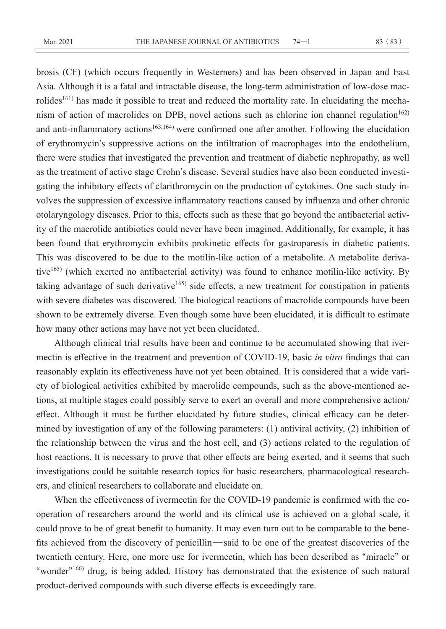brosis (CF) (which occurs frequently in Westerners) and has been observed in Japan and East Asia. Although it is a fatal and intractable disease, the long-term administration of low-dose macrolides<sup>161)</sup> has made it possible to treat and reduced the mortality rate. In elucidating the mechanism of action of macrolides on DPB, novel actions such as chlorine ion channel regulation<sup>162)</sup> and anti-inflammatory actions<sup>163,164)</sup> were confirmed one after another. Following the elucidation of erythromycin**'**s suppressive actions on the infiltration of macrophages into the endothelium, there were studies that investigated the prevention and treatment of diabetic nephropathy, as well as the treatment of active stage Crohn**'**s disease. Several studies have also been conducted investigating the inhibitory effects of clarithromycin on the production of cytokines. One such study involves the suppression of excessive inflammatory reactions caused by influenza and other chronic otolaryngology diseases. Prior to this, effects such as these that go beyond the antibacterial activity of the macrolide antibiotics could never have been imagined. Additionally, for example, it has been found that erythromycin exhibits prokinetic effects for gastroparesis in diabetic patients. This was discovered to be due to the motilin-like action of a metabolite. A metabolite derivative165) (which exerted no antibacterial activity) was found to enhance motilin-like activity. By taking advantage of such derivative<sup>165)</sup> side effects, a new treatment for constipation in patients with severe diabetes was discovered. The biological reactions of macrolide compounds have been shown to be extremely diverse. Even though some have been elucidated, it is difficult to estimate how many other actions may have not yet been elucidated.

Although clinical trial results have been and continue to be accumulated showing that ivermectin is effective in the treatment and prevention of COVID-19, basic *in vitro* findings that can reasonably explain its effectiveness have not yet been obtained. It is considered that a wide variety of biological activities exhibited by macrolide compounds, such as the above-mentioned actions, at multiple stages could possibly serve to exert an overall and more comprehensive action/ effect. Although it must be further elucidated by future studies, clinical efficacy can be determined by investigation of any of the following parameters: (1) antiviral activity, (2) inhibition of the relationship between the virus and the host cell, and (3) actions related to the regulation of host reactions. It is necessary to prove that other effects are being exerted, and it seems that such investigations could be suitable research topics for basic researchers, pharmacological researchers, and clinical researchers to collaborate and elucidate on.

When the effectiveness of ivermectin for the COVID-19 pandemic is confirmed with the cooperation of researchers around the world and its clinical use is achieved on a global scale, it could prove to be of great benefit to humanity. It may even turn out to be comparable to the benefits achieved from the discovery of penicillin—said to be one of the greatest discoveries of the twentieth century. Here, one more use for ivermectin, which has been described as **"**miracle**"** or **"**wonder**"**166) drug, is being added. History has demonstrated that the existence of such natural product-derived compounds with such diverse effects is exceedingly rare.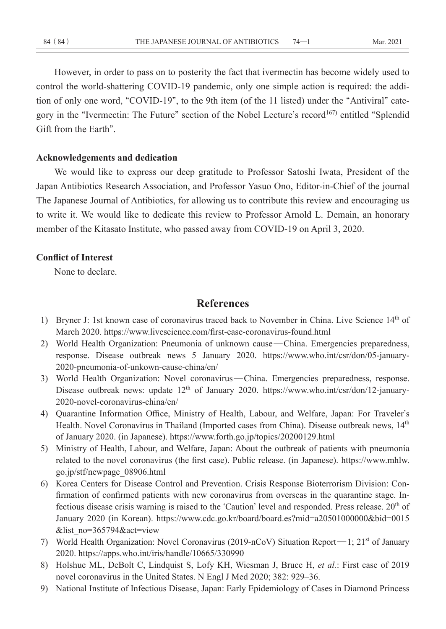However, in order to pass on to posterity the fact that ivermectin has become widely used to control the world-shattering COVID-19 pandemic, only one simple action is required: the addition of only one word, **"**COVID-19**"**, to the 9th item (of the 11 listed) under the **"**Antiviral**"** category in the **"**Ivermectin: The Future**"** section of the Nobel Lecture**'**s record167) entitled **"**Splendid Gift from the Earth**"**.

### **Acknowledgements and dedication**

We would like to express our deep gratitude to Professor Satoshi Iwata, President of the Japan Antibiotics Research Association, and Professor Yasuo Ono, Editor-in-Chief of the journal The Japanese Journal of Antibiotics, for allowing us to contribute this review and encouraging us to write it. We would like to dedicate this review to Professor Arnold L. Demain, an honorary member of the Kitasato Institute, who passed away from COVID-19 on April 3, 2020.

### **Conflict of Interest**

None to declare.

## **References**

- 1) Bryner J: 1st known case of coronavirus traced back to November in China. Live Science 14<sup>th</sup> of March 2020. https://www.livescience.com/first-case-coronavirus-found.html
- 2) World Health Organization: Pneumonia of unknown cause—China. Emergencies preparedness, response. Disease outbreak news 5 January 2020. https://www.who.int/csr/don/05-january-2020-pneumonia-of-unkown-cause-china/en/
- 3) World Health Organization: Novel coronavirus—China. Emergencies preparedness, response. Disease outbreak news: update  $12<sup>th</sup>$  of January 2020. https://www.who.int/csr/don/12-january-2020-novel-coronavirus-china/en/
- 4) Quarantine Information Office, Ministry of Health, Labour, and Welfare, Japan: For Traveler**'**s Health. Novel Coronavirus in Thailand (Imported cases from China). Disease outbreak news, 14<sup>th</sup> of January 2020. (in Japanese). https://www.forth.go.jp/topics/20200129.html
- 5) Ministry of Health, Labour, and Welfare, Japan: About the outbreak of patients with pneumonia related to the novel coronavirus (the first case). Public release. (in Japanese). https://www.mhlw. go.jp/stf/newpage\_08906.html
- 6) Korea Centers for Disease Control and Prevention. Crisis Response Bioterrorism Division: Confirmation of confirmed patients with new coronavirus from overseas in the quarantine stage. Infectious disease crisis warning is raised to the 'Caution' level and responded. Press release. 20<sup>th</sup> of January 2020 (in Korean). https://www.cdc.go.kr/board/board.es?mid=a20501000000&bid=0015 &list\_no=365794&act=view
- 7) World Health Organization: Novel Coronavirus (2019-nCoV) Situation Report—1; 21<sup>st</sup> of January 2020. https://apps.who.int/iris/handle/10665/330990
- 8) Holshue ML, DeBolt C, Lindquist S, Lofy KH, Wiesman J, Bruce H, *et al.*: First case of 2019 novel coronavirus in the United States. N Engl J Med 2020; 382: 929–36.
- 9) National Institute of Infectious Disease, Japan: Early Epidemiology of Cases in Diamond Princess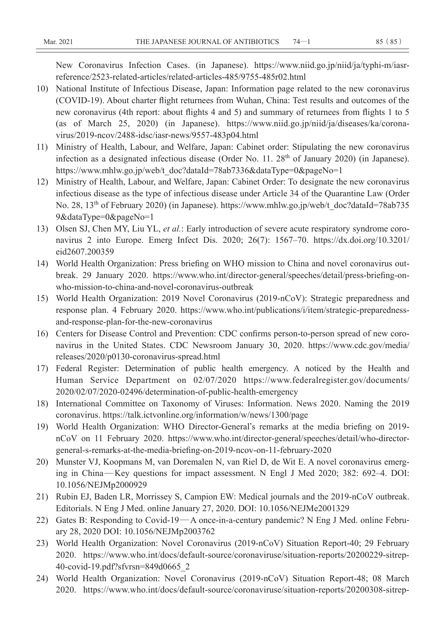New Coronavirus Infection Cases. (in Japanese). https://www.niid.go.jp/niid/ja/typhi-m/iasrreference/2523-related-articles/related-articles-485/9755-485r02.html

- 10) National Institute of Infectious Disease, Japan: Information page related to the new coronavirus (COVID-19). About charter flight returnees from Wuhan, China: Test results and outcomes of the new coronavirus (4th report: about flights 4 and 5) and summary of returnees from flights 1 to 5 (as of March 25, 2020) (in Japanese). https://www.niid.go.jp/niid/ja/diseases/ka/coronavirus/2019-ncov/2488-idsc/iasr-news/9557-483p04.html
- 11) Ministry of Health, Labour, and Welfare, Japan: Cabinet order: Stipulating the new coronavirus infection as a designated infectious disease (Order No. 11.  $28<sup>th</sup>$  of January 2020) (in Japanese). https://www.mhlw.go.jp/web/t\_doc?dataId=78ab7336&dataType=0&pageNo=1
- 12) Ministry of Health, Labour, and Welfare, Japan: Cabinet Order: To designate the new coronavirus infectious disease as the type of infectious disease under Article 34 of the Quarantine Law (Order No. 28, 13<sup>th</sup> of February 2020) (in Japanese). https://www.mhlw.go.jp/web/t\_doc?dataId=78ab735 9&dataType=0&pageNo=1
- 13) Olsen SJ, Chen MY, Liu YL, *et al.*: Early introduction of severe acute respiratory syndrome coronavirus 2 into Europe. Emerg Infect Dis. 2020; 26(7): 1567–70. https://dx.doi.org/10.3201/ eid2607.200359
- 14) World Health Organization: Press briefing on WHO mission to China and novel coronavirus outbreak. 29 January 2020. https://www.who.int/director-general/speeches/detail/press-briefing-onwho-mission-to-china-and-novel-coronavirus-outbreak
- 15) World Health Organization: 2019 Novel Coronavirus (2019-nCoV): Strategic preparedness and response plan. 4 February 2020. https://www.who.int/publications/i/item/strategic-preparednessand-response-plan-for-the-new-coronavirus
- 16) Centers for Disease Control and Prevention: CDC confirms person-to-person spread of new coronavirus in the United States. CDC Newsroom January 30, 2020. https://www.cdc.gov/media/ releases/2020/p0130-coronavirus-spread.html
- 17) Federal Register: Determination of public health emergency. A noticed by the Health and Human Service Department on 02/07/2020 https://www.federalregister.gov/documents/ 2020/02/07/2020-02496/determination-of-public-health-emergency
- 18) International Committee on Taxonomy of Viruses: Information. News 2020. Naming the 2019 coronavirus. https://talk.ictvonline.org/information/w/news/1300/page
- 19) World Health Organization: WHO Director-General**'**s remarks at the media briefing on 2019 nCoV on 11 February 2020. https://www.who.int/director-general/speeches/detail/who-directorgeneral-s-remarks-at-the-media-briefing-on-2019-ncov-on-11-february-2020
- 20) Munster VJ, Koopmans M, van Doremalen N, van Riel D, de Wit E. A novel coronavirus emerging in China—Key questions for impact assessment. N Engl J Med 2020; 382: 692–4. DOI: 10.1056/NEJMp2000929
- 21) Rubin EJ, Baden LR, Morrissey S, Campion EW: Medical journals and the 2019-nCoV outbreak. Editorials. N Eng J Med. online January 27, 2020. DOI: 10.1056/NEJMe2001329
- 22) Gates B: Responding to Covid-19—A once-in-a-century pandemic? N Eng J Med. online February 28, 2020 DOI: 10.1056/NEJMp2003762
- 23) World Health Organization: Novel Coronavirus (2019-nCoV) Situation Report-40; 29 February 2020. https://www.who.int/docs/default-source/coronaviruse/situation-reports/20200229-sitrep-40-covid-19.pdf?sfvrsn=849d0665\_2
- 24) World Health Organization: Novel Coronavirus (2019-nCoV) Situation Report-48; 08 March 2020. https://www.who.int/docs/default-source/coronaviruse/situation-reports/20200308-sitrep-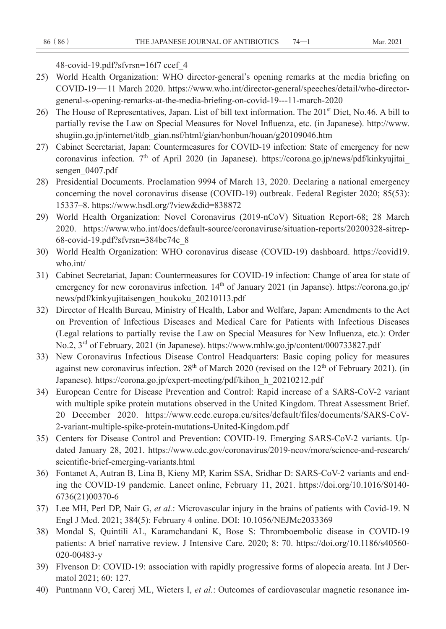```
48-covid-19.pdf?sfvrsn=16f7 ccef_4
```
- 25) World Health Organization: WHO director-general**'**s opening remarks at the media briefing on COVID-19—11 March 2020. https://www.who.int/director-general/speeches/detail/who-directorgeneral-s-opening-remarks-at-the-media-briefing-on-covid-19---11-march-2020
- 26) The House of Representatives, Japan. List of bill text information. The 201<sup>st</sup> Diet, No.46. A bill to partially revise the Law on Special Measures for Novel Influenza, etc. (in Japanese). http://www. shugiin.go.jp/internet/itdb\_gian.nsf/html/gian/honbun/houan/g20109046.htm
- 27) Cabinet Secretariat, Japan: Countermeasures for COVID-19 infection: State of emergency for new coronavirus infection.  $7<sup>th</sup>$  of April 2020 (in Japanese). https://corona.go.jp/news/pdf/kinkyujitai sengen\_0407.pdf
- 28) Presidential Documents. Proclamation 9994 of March 13, 2020. Declaring a national emergency concerning the novel coronavirus disease (COVID-19) outbreak. Federal Register 2020; 85(53): 15337–8. https://www.hsdl.org/?view&did=838872
- 29) World Health Organization: Novel Coronavirus (2019-nCoV) Situation Report-68; 28 March 2020. https://www.who.int/docs/default-source/coronaviruse/situation-reports/20200328-sitrep-68-covid-19.pdf?sfvrsn=384bc74c\_8
- 30) World Health Organization: WHO coronavirus disease (COVID-19) dashboard. https://covid19. who.int/
- 31) Cabinet Secretariat, Japan: Countermeasures for COVID-19 infection: Change of area for state of emergency for new coronavirus infection. 14<sup>th</sup> of January 2021 (in Japanse). https://corona.go.jp/ news/pdf/kinkyujitaisengen\_houkoku\_20210113.pdf
- 32) Director of Health Bureau, Ministry of Health, Labor and Welfare, Japan: Amendments to the Act on Prevention of Infectious Diseases and Medical Care for Patients with Infectious Diseases (Legal relations to partially revise the Law on Special Measures for New Influenza, etc.): Order No.2, 3rd of February, 2021 (in Japanese). https://www.mhlw.go.jp/content/000733827.pdf
- 33) New Coronavirus Infectious Disease Control Headquarters: Basic coping policy for measures against new coronavirus infection.  $28<sup>th</sup>$  of March 2020 (revised on the  $12<sup>th</sup>$  of February 2021). (in Japanese). https://corona.go.jp/expert-meeting/pdf/kihon\_h\_20210212.pdf
- 34) European Centre for Disease Prevention and Control: Rapid increase of a SARS-CoV-2 variant with multiple spike protein mutations observed in the United Kingdom. Threat Assessment Brief. 20 December 2020. https://www.ecdc.europa.eu/sites/default/files/documents/SARS-CoV-2-variant-multiple-spike-protein-mutations-United-Kingdom.pdf
- 35) Centers for Disease Control and Prevention: COVID-19. Emerging SARS-CoV-2 variants. Updated January 28, 2021. https://www.cdc.gov/coronavirus/2019-ncov/more/science-and-research/ scientific-brief-emerging-variants.html
- 36) Fontanet A, Autran B, Lina B, Kieny MP, Karim SSA, Sridhar D: SARS-CoV-2 variants and ending the COVID-19 pandemic. Lancet online, February 11, 2021. https://doi.org/10.1016/S0140- 6736(21)00370-6
- 37) Lee MH, Perl DP, Nair G, *et al.*: Microvascular injury in the brains of patients with Covid-19. N Engl J Med. 2021; 384(5): February 4 online. DOI: 10.1056/NEJMc2033369
- 38) Mondal S, Quintili AL, Karamchandani K, Bose S: Thromboembolic disease in COVID-19 patients: A brief narrative review. J Intensive Care. 2020; 8: 70. https://doi.org/10.1186/s40560- 020-00483-y
- 39) Flvenson D: COVID-19: association with rapidly progressive forms of alopecia areata. Int J Dermatol 2021; 60: 127.
- 40) Puntmann VO, Carerj ML, Wieters I, *et al.*: Outcomes of cardiovascular magnetic resonance im-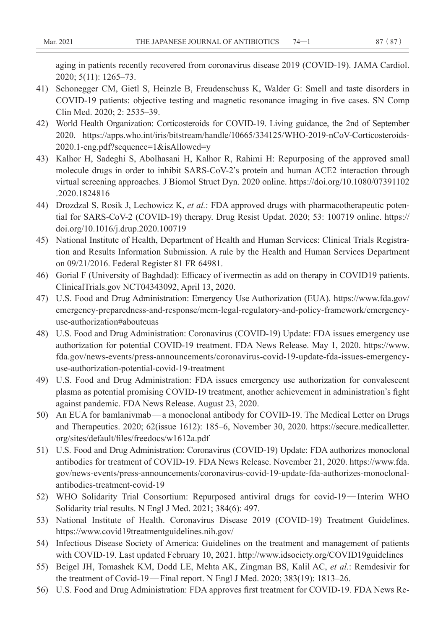aging in patients recently recovered from coronavirus disease 2019 (COVID-19). JAMA Cardiol. 2020; 5(11): 1265–73.

- 41) Schonegger CM, Gietl S, Heinzle B, Freudenschuss K, Walder G: Smell and taste disorders in COVID-19 patients: objective testing and magnetic resonance imaging in five cases. SN Comp Clin Med. 2020; 2: 2535–39.
- 42) World Health Organization: Corticosteroids for COVID-19. Living guidance, the 2nd of September 2020. https://apps.who.int/iris/bitstream/handle/10665/334125/WHO-2019-nCoV-Corticosteroids-2020.1-eng.pdf?sequence=1&isAllowed=y
- 43) Kalhor H, Sadeghi S, Abolhasani H, Kalhor R, Rahimi H: Repurposing of the approved small molecule drugs in order to inhibit SARS-CoV-2**'**s protein and human ACE2 interaction through virtual screening approaches. J Biomol Struct Dyn. 2020 online. https://doi.org/10.1080/07391102 .2020.1824816
- 44) Drozdzal S, Rosik J, Lechowicz K, *et al.*: FDA approved drugs with pharmacotherapeutic potential for SARS-CoV-2 (COVID-19) therapy. Drug Resist Updat. 2020; 53: 100719 online. https:// doi.org/10.1016/j.drup.2020.100719
- 45) National Institute of Health, Department of Health and Human Services: Clinical Trials Registration and Results Information Submission. A rule by the Health and Human Services Department on 09/21/2016. Federal Register 81 FR 64981.
- 46) Gorial F (University of Baghdad): Efficacy of ivermectin as add on therapy in COVID19 patients. ClinicalTrials.gov NCT04343092, April 13, 2020.
- 47) U.S. Food and Drug Administration: Emergency Use Authorization (EUA). https://www.fda.gov/ emergency-preparedness-and-response/mcm-legal-regulatory-and-policy-framework/emergencyuse-authorization#abouteuas
- 48) U.S. Food and Drug Administration: Coronavirus (COVID-19) Update: FDA issues emergency use authorization for potential COVID-19 treatment. FDA News Release. May 1, 2020. https://www. fda.gov/news-events/press-announcements/coronavirus-covid-19-update-fda-issues-emergencyuse-authorization-potential-covid-19-treatment
- 49) U.S. Food and Drug Administration: FDA issues emergency use authorization for convalescent plasma as potential promising COVID-19 treatment, another achievement in administration**'**s fight against pandemic. FDA News Release. August 23, 2020.
- 50) An EUA for bamlanivmab—a monoclonal antibody for COVID-19. The Medical Letter on Drugs and Therapeutics. 2020; 62(issue 1612): 185–6, November 30, 2020. https://secure.medicalletter. org/sites/default/files/freedocs/w1612a.pdf
- 51) U.S. Food and Drug Administration: Coronavirus (COVID-19) Update: FDA authorizes monoclonal antibodies for treatment of COVID-19. FDA News Release. November 21, 2020. https://www.fda. gov/news-events/press-announcements/coronavirus-covid-19-update-fda-authorizes-monoclonalantibodies-treatment-covid-19
- 52) WHO Solidarity Trial Consortium: Repurposed antiviral drugs for covid-19—Interim WHO Solidarity trial results. N Engl J Med. 2021; 384(6): 497.
- 53) National Institute of Health. Coronavirus Disease 2019 (COVID-19) Treatment Guidelines. https://www.covid19treatmentguidelines.nih.gov/
- 54) Infectious Disease Society of America: Guidelines on the treatment and management of patients with COVID-19. Last updated February 10, 2021. http://www.idsociety.org/COVID19guidelines
- 55) Beigel JH, Tomashek KM, Dodd LE, Mehta AK, Zingman BS, Kalil AC, *et al.*: Remdesivir for the treatment of Covid-19—Final report. N Engl J Med. 2020; 383(19): 1813–26.
- 56) U.S. Food and Drug Administration: FDA approves first treatment for COVID-19. FDA News Re-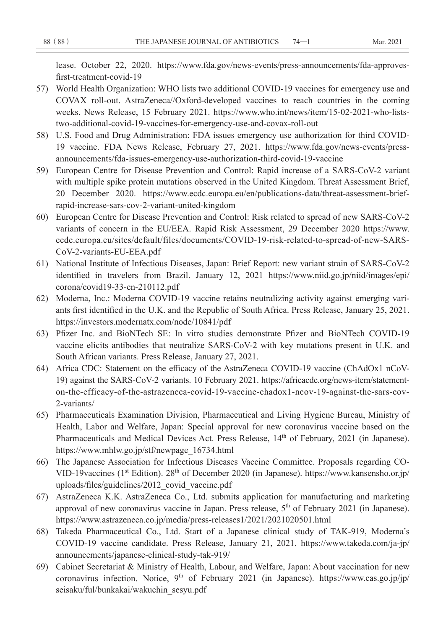lease. October 22, 2020. https://www.fda.gov/news-events/press-announcements/fda-approvesfirst-treatment-covid-19

- 57) World Health Organization: WHO lists two additional COVID-19 vaccines for emergency use and COVAX roll-out. AstraZeneca//Oxford-developed vaccines to reach countries in the coming weeks. News Release, 15 February 2021. https://www.who.int/news/item/15-02-2021-who-liststwo-additional-covid-19-vaccines-for-emergency-use-and-covax-roll-out
- 58) U.S. Food and Drug Administration: FDA issues emergency use authorization for third COVID-19 vaccine. FDA News Release, February 27, 2021. https://www.fda.gov/news-events/pressannouncements/fda-issues-emergency-use-authorization-third-covid-19-vaccine
- 59) European Centre for Disease Prevention and Control: Rapid increase of a SARS-CoV-2 variant with multiple spike protein mutations observed in the United Kingdom. Threat Assessment Brief, 20 December 2020. https://www.ecdc.europa.eu/en/publications-data/threat-assessment-briefrapid-increase-sars-cov-2-variant-united-kingdom
- 60) European Centre for Disease Prevention and Control: Risk related to spread of new SARS-CoV-2 variants of concern in the EU/EEA. Rapid Risk Assessment, 29 December 2020 https://www. ecdc.europa.eu/sites/default/files/documents/COVID-19-risk-related-to-spread-of-new-SARS-CoV-2-variants-EU-EEA.pdf
- 61) National Institute of Infectious Diseases, Japan: Brief Report: new variant strain of SARS-CoV-2 identified in travelers from Brazil. January 12, 2021 https://www.niid.go.jp/niid/images/epi/ corona/covid19-33-en-210112.pdf
- 62) Moderna, Inc.: Moderna COVID-19 vaccine retains neutralizing activity against emerging variants first identified in the U.K. and the Republic of South Africa. Press Release, January 25, 2021. https://investors.modernatx.com/node/10841/pdf
- 63) Pfizer Inc. and BioNTech SE: In vitro studies demonstrate Pfizer and BioNTech COVID-19 vaccine elicits antibodies that neutralize SARS-CoV-2 with key mutations present in U.K. and South African variants. Press Release, January 27, 2021.
- 64) Africa CDC: Statement on the efficacy of the AstraZeneca COVID-19 vaccine (ChAdOx1 nCoV-19) against the SARS-CoV-2 variants. 10 February 2021. https://africacdc.org/news-item/statementon-the-efficacy-of-the-astrazeneca-covid-19-vaccine-chadox1-ncov-19-against-the-sars-cov-2-variants/
- 65) Pharmaceuticals Examination Division, Pharmaceutical and Living Hygiene Bureau, Ministry of Health, Labor and Welfare, Japan: Special approval for new coronavirus vaccine based on the Pharmaceuticals and Medical Devices Act. Press Release,  $14<sup>th</sup>$  of February, 2021 (in Japanese). https://www.mhlw.go.jp/stf/newpage\_16734.html
- 66) The Japanese Association for Infectious Diseases Vaccine Committee. Proposals regarding CO-VID-19vaccines (1<sup>st</sup> Edition). 28<sup>th</sup> of December 2020 (in Japanese). https://www.kansensho.or.jp/ uploads/files/guidelines/2012\_covid\_vaccine.pdf
- 67) AstraZeneca K.K. AstraZeneca Co., Ltd. submits application for manufacturing and marketing approval of new coronavirus vaccine in Japan. Press release, 5<sup>th</sup> of February 2021 (in Japanese). https://www.astrazeneca.co.jp/media/press-releases1/2021/2021020501.html
- 68) Takeda Pharmaceutical Co., Ltd. Start of a Japanese clinical study of TAK-919, Moderna**'**s COVID-19 vaccine candidate. Press Release, January 21, 2021. https://www.takeda.com/ja-jp/ announcements/japanese-clinical-study-tak-919/
- 69) Cabinet Secretariat & Ministry of Health, Labour, and Welfare, Japan: About vaccination for new coronavirus infection. Notice,  $9<sup>th</sup>$  of February 2021 (in Japanese). https://www.cas.go.jp/jp/ seisaku/ful/bunkakai/wakuchin\_sesyu.pdf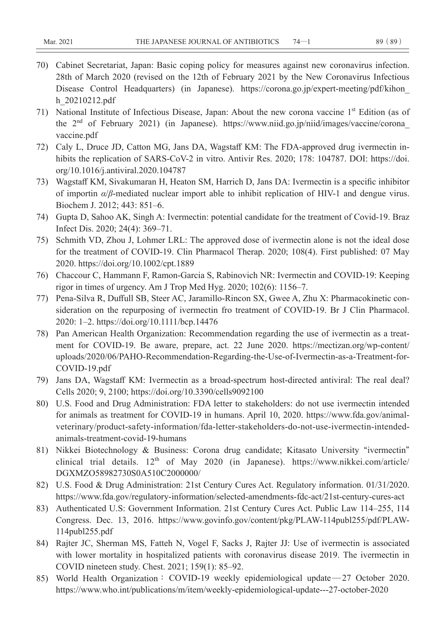- 70) Cabinet Secretariat, Japan: Basic coping policy for measures against new coronavirus infection. 28th of March 2020 (revised on the 12th of February 2021 by the New Coronavirus Infectious Disease Control Headquarters) (in Japanese). https://corona.go.jp/expert-meeting/pdf/kihon\_ h\_20210212.pdf
- 71) National Institute of Infectious Disease, Japan: About the new corona vaccine 1st Edition (as of the  $2<sup>nd</sup>$  of February 2021) (in Japanese). https://www.niid.go.jp/niid/images/vaccine/corona vaccine.pdf
- 72) Caly L, Druce JD, Catton MG, Jans DA, Wagstaff KM: The FDA-approved drug ivermectin inhibits the replication of SARS-CoV-2 in vitro. Antivir Res. 2020; 178: 104787. DOI: https://doi. org/10.1016/j.antiviral.2020.104787
- 73) Wagstaff KM, Sivakumaran H, Heaton SM, Harrich D, Jans DA: Ivermectin is a specific inhibitor of importin *α*/*β*-mediated nuclear import able to inhibit replication of HIV-1 and dengue virus. Biochem J. 2012; 443: 851–6.
- 74) Gupta D, Sahoo AK, Singh A: Ivermectin: potential candidate for the treatment of Covid-19. Braz Infect Dis. 2020; 24(4): 369–71.
- 75) Schmith VD, Zhou J, Lohmer LRL: The approved dose of ivermectin alone is not the ideal dose for the treatment of COVID-19. Clin Pharmacol Therap. 2020; 108(4). First published: 07 May 2020. https://doi.org/10.1002/cpt.1889
- 76) Chaccour C, Hammann F, Ramon-Garcia S, Rabinovich NR: Ivermectin and COVID-19: Keeping rigor in times of urgency. Am J Trop Med Hyg. 2020; 102(6): 1156–7.
- 77) Pena-Silva R, Duffull SB, Steer AC, Jaramillo-Rincon SX, Gwee A, Zhu X: Pharmacokinetic consideration on the repurposing of ivermectin fro treatment of COVID-19. Br J Clin Pharmacol. 2020: 1–2. https://doi.org/10.1111/bcp.14476
- 78) Pan American Health Organization: Recommendation regarding the use of ivermectin as a treatment for COVID-19. Be aware, prepare, act. 22 June 2020. https://mectizan.org/wp-content/ uploads/2020/06/PAHO-Recommendation-Regarding-the-Use-of-Ivermectin-as-a-Treatment-for-COVID-19.pdf
- 79) Jans DA, Wagstaff KM: Ivermectin as a broad-spectrum host-directed antiviral: The real deal? Cells 2020; 9, 2100; https://doi.org/10.3390/cells9092100
- 80) U.S. Food and Drug Administration: FDA letter to stakeholders: do not use ivermectin intended for animals as treatment for COVID-19 in humans. April 10, 2020. https://www.fda.gov/animalveterinary/product-safety-information/fda-letter-stakeholders-do-not-use-ivermectin-intendedanimals-treatment-covid-19-humans
- 81) Nikkei Biotechnology & Business: Corona drug candidate; Kitasato University **"**ivermectin**"** clinical trial details. 12<sup>th</sup> of May 2020 (in Japanese). https://www.nikkei.com/article/ DGXMZO58982730S0A510C2000000/
- 82) U.S. Food & Drug Administration: 21st Century Cures Act. Regulatory information. 01/31/2020. https://www.fda.gov/regulatory-information/selected-amendments-fdc-act/21st-century-cures-act
- 83) Authenticated U.S: Government Information. 21st Century Cures Act. Public Law 114–255, 114 Congress. Dec. 13, 2016. https://www.govinfo.gov/content/pkg/PLAW-114publ255/pdf/PLAW-114publ255.pdf
- 84) Rajter JC, Sherman MS, Fatteh N, Vogel F, Sacks J, Rajter JJ: Use of ivermectin is associated with lower mortality in hospitalized patients with coronavirus disease 2019. The ivermectin in COVID nineteen study. Chest. 2021; 159(1): 85–92.
- 85) World Health Organization**:** COVID-19 weekly epidemiological update—27 October 2020. https://www.who.int/publications/m/item/weekly-epidemiological-update---27-october-2020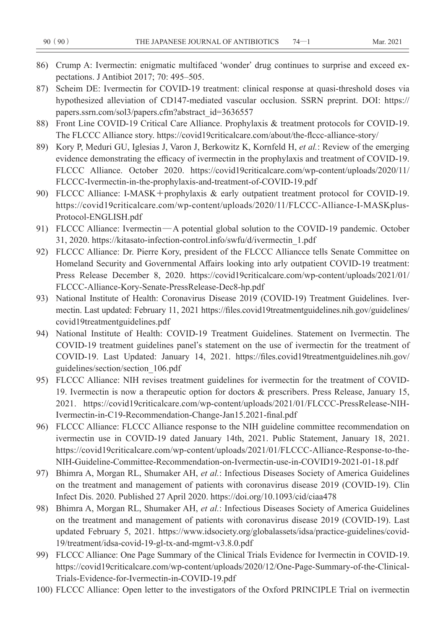- 86) Crump A: Ivermectin: enigmatic multifaced **ʻ**wonder**'** drug continues to surprise and exceed expectations. J Antibiot 2017; 70: 495–505.
- 87) Scheim DE: Ivermectin for COVID-19 treatment: clinical response at quasi-threshold doses via hypothesized alleviation of CD147-mediated vascular occlusion. SSRN preprint. DOI: https:// papers.ssrn.com/sol3/papers.cfm?abstract\_id=3636557
- 88) Front Line COVID-19 Critical Care Alliance. Prophylaxis & treatment protocols for COVID-19. The FLCCC Alliance story. https://covid19criticalcare.com/about/the-flccc-alliance-story/
- 89) Kory P, Meduri GU, Iglesias J, Varon J, Berkowitz K, Kornfeld H, *et al.*: Review of the emerging evidence demonstrating the efficacy of ivermectin in the prophylaxis and treatment of COVID-19. FLCCC Alliance. October 2020. https://covid19criticalcare.com/wp-content/uploads/2020/11/ FLCCC-Ivermectin-in-the-prophylaxis-and-treatment-of-COVID-19.pdf
- 90) FLCCC Alliance: I-MASK**+**prophylaxis & early outpatient treatment protocol for COVID-19. https://covid19criticalcare.com/wp-content/uploads/2020/11/FLCCC-Alliance-I-MASKplus-Protocol-ENGLISH.pdf
- 91) FLCCC Alliance: Ivermectin—A potential global solution to the COVID-19 pandemic. October 31, 2020. https://kitasato-infection-control.info/swfu/d/ivermectin\_1.pdf
- 92) FLCCC Alliance: Dr. Pierre Kory, president of the FLCCC Alliancce tells Senate Committee on Homeland Security and Governmental Affairs looking into arly outpatient COVID-19 treatment: Press Release December 8, 2020. https://covid19criticalcare.com/wp-content/uploads/2021/01/ FLCCC-Alliance-Kory-Senate-PressRelease-Dec8-hp.pdf
- 93) National Institute of Health: Coronavirus Disease 2019 (COVID-19) Treatment Guidelines. Ivermectin. Last updated: February 11, 2021 https://files.covid19treatmentguidelines.nih.gov/guidelines/ covid19treatmentguidelines.pdf
- 94) National Institute of Health: COVID-19 Treatment Guidelines. Statement on Ivermectin. The COVID-19 treatment guidelines panel**'**s statement on the use of ivermectin for the treatment of COVID-19. Last Updated: January 14, 2021. https://files.covid19treatmentguidelines.nih.gov/ guidelines/section/section\_106.pdf
- 95) FLCCC Alliance: NIH revises treatment guidelines for ivermectin for the treatment of COVID-19. Ivermectin is now a therapeutic option for doctors & prescribers. Press Release, January 15, 2021. https://covid19criticalcare.com/wp-content/uploads/2021/01/FLCCC-PressRelease-NIH-Ivermectin-in-C19-Recommendation-Change-Jan15.2021-final.pdf
- 96) FLCCC Alliance: FLCCC Alliance response to the NIH guideline committee recommendation on ivermectin use in COVID-19 dated January 14th, 2021. Public Statement, January 18, 2021. https://covid19criticalcare.com/wp-content/uploads/2021/01/FLCCC-Alliance-Response-to-the-NIH-Guideline-Committee-Recommendation-on-Ivermectin-use-in-COVID19-2021-01-18.pdf
- 97) Bhimra A, Morgan RL, Shumaker AH, *et al.*: Infectious Diseases Society of America Guidelines on the treatment and management of patients with coronavirus disease 2019 (COVID-19). Clin Infect Dis. 2020. Published 27 April 2020. https://doi.org/10.1093/cid/ciaa478
- 98) Bhimra A, Morgan RL, Shumaker AH, *et al.*: Infectious Diseases Society of America Guidelines on the treatment and management of patients with coronavirus disease 2019 (COVID-19). Last updated February 5, 2021. https://www.idsociety.org/globalassets/idsa/practice-guidelines/covid-19/treatment/idsa-covid-19-gl-tx-and-mgmt-v3.8.0.pdf
- 99) FLCCC Alliance: One Page Summary of the Clinical Trials Evidence for Ivermectin in COVID-19. https://covid19criticalcare.com/wp-content/uploads/2020/12/One-Page-Summary-of-the-Clinical-Trials-Evidence-for-Ivermectin-in-COVID-19.pdf
- 100) FLCCC Alliance: Open letter to the investigators of the Oxford PRINCIPLE Trial on ivermectin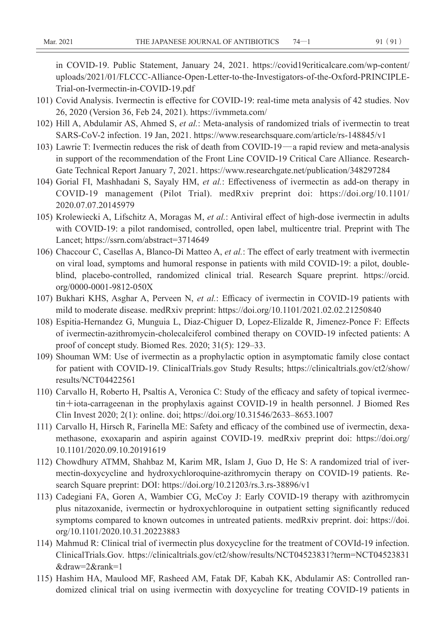in COVID-19. Public Statement, January 24, 2021. https://covid19criticalcare.com/wp-content/ uploads/2021/01/FLCCC-Alliance-Open-Letter-to-the-Investigators-of-the-Oxford-PRINCIPLE-Trial-on-Ivermectin-in-COVID-19.pdf

- 101) Covid Analysis. Ivermectin is effective for COVID-19: real-time meta analysis of 42 studies. Nov 26, 2020 (Version 36, Feb 24, 2021). https://ivmmeta.com/
- 102) Hill A, Abdulamir AS, Ahmed S, *et al.*: Meta-analysis of randomized trials of ivermectin to treat SARS-CoV-2 infection. 19 Jan, 2021. https://www.researchsquare.com/article/rs-148845/v1
- 103) Lawrie T: Ivermectin reduces the risk of death from COVID-19—a rapid review and meta-analysis in support of the recommendation of the Front Line COVID-19 Critical Care Alliance. Research-Gate Technical Report January 7, 2021. https://www.researchgate.net/publication/348297284
- 104) Gorial FI, Mashhadani S, Sayaly HM, *et al.*: Effectiveness of ivermectin as add-on therapy in COVID-19 management (Pilot Trial). medRxiv preprint doi: https://doi.org/10.1101/ 2020.07.07.20145979
- 105) Krolewiecki A, Lifschitz A, Moragas M, *et al.*: Antiviral effect of high-dose ivermectin in adults with COVID-19: a pilot randomised, controlled, open label, multicentre trial. Preprint with The Lancet; https://ssrn.com/abstract=3714649
- 106) Chaccour C, Casellas A, Blanco-Di Matteo A, *et al.*: The effect of early treatment with ivermectin on viral load, symptoms and humoral response in patients with mild COVID-19: a pilot, doubleblind, placebo-controlled, randomized clinical trial. Research Square preprint. https://orcid. org/0000-0001-9812-050X
- 107) Bukhari KHS, Asghar A, Perveen N, *et al.*: Efficacy of ivermectin in COVID-19 patients with mild to moderate disease. medRxiv preprint: https://doi.org/10.1101/2021.02.02.21250840
- 108) Espitia-Hernandez G, Munguia L, Diaz-Chiguer D, Lopez-Elizalde R, Jimenez-Ponce F: Effects of ivermectin-azithromycin-cholecalciferol combined therapy on COVID-19 infected patients: A proof of concept study. Biomed Res. 2020; 31(5): 129–33.
- 109) Shouman WM: Use of ivermectin as a prophylactic option in asymptomatic family close contact for patient with COVID-19. ClinicalTrials.gov Study Results; https://clinicaltrials.gov/ct2/show/ results/NCT04422561
- 110) Carvallo H, Roberto H, Psaltis A, Veronica C: Study of the efficacy and safety of topical ivermectin**+**iota-carrageenan in the prophylaxis against COVID-19 in health personnel. J Biomed Res Clin Invest 2020; 2(1): online. doi; https://doi.org/10.31546/2633–8653.1007
- 111) Carvallo H, Hirsch R, Farinella ME: Safety and efficacy of the combined use of ivermectin, dexamethasone, exoxaparin and aspirin against COVID-19. medRxiv preprint doi: https://doi.org/ 10.1101/2020.09.10.20191619
- 112) Chowdhury ATMM, Shahbaz M, Karim MR, Islam J, Guo D, He S: A randomized trial of ivermectin-doxycycline and hydroxychloroquine-azithromycin therapy on COVID-19 patients. Research Square preprint: DOI: https://doi.org/10.21203/rs.3.rs-38896/v1
- 113) Cadegiani FA, Goren A, Wambier CG, McCoy J: Early COVID-19 therapy with azithromycin plus nitazoxanide, ivermectin or hydroxychloroquine in outpatient setting significantly reduced symptoms compared to known outcomes in untreated patients. medRxiv preprint. doi: https://doi. org/10.1101/2020.10.31.20223883
- 114) Mahmud R: Clinical trial of ivermectin plus doxycycline for the treatment of COVId-19 infection. ClinicalTrials.Gov. https://clinicaltrials.gov/ct2/show/results/NCT04523831?term=NCT04523831 &draw=2&rank=1
- 115) Hashim HA, Maulood MF, Rasheed AM, Fatak DF, Kabah KK, Abdulamir AS: Controlled randomized clinical trial on using ivermectin with doxycycline for treating COVID-19 patients in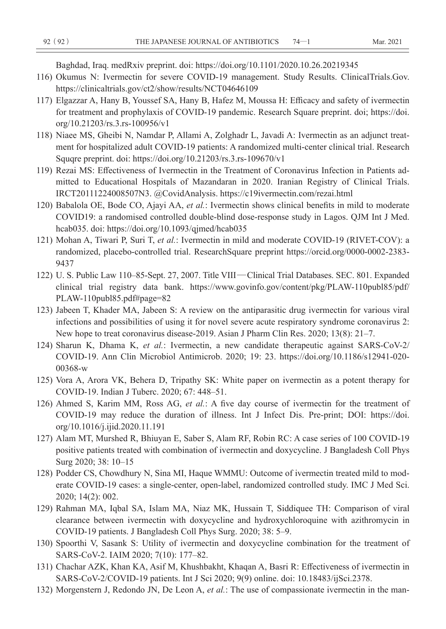Baghdad, Iraq. medRxiv preprint. doi: https://doi.org/10.1101/2020.10.26.20219345

- 116) Okumus N: Ivermectin for severe COVID-19 management. Study Results. ClinicalTrials.Gov. https://clinicaltrials.gov/ct2/show/results/NCT04646109
- 117) Elgazzar A, Hany B, Youssef SA, Hany B, Hafez M, Moussa H: Efficacy and safety of ivermectin for treatment and prophylaxis of COVID-19 pandemic. Research Square preprint. doi; https://doi. org/10.21203/rs.3.rs-100956/v1
- 118) Niaee MS, Gheibi N, Namdar P, Allami A, Zolghadr L, Javadi A: Ivermectin as an adjunct treatment for hospitalized adult COVID-19 patients: A randomized multi-center clinical trial. Research Squqre preprint. doi: https://doi.org/10.21203/rs.3.rs-109670/v1
- 119) Rezai MS: Effectiveness of Ivermectin in the Treatment of Coronavirus Infection in Patients admitted to Educational Hospitals of Mazandaran in 2020. Iranian Registry of Clinical Trials. IRCT20111224008507N3. @CovidAnalysis. https://c19ivermectin.com/rezai.html
- 120) Babalola OE, Bode CO, Ajayi AA, *et al.*: Ivermectin shows clinical benefits in mild to moderate COVID19: a randomised controlled double-blind dose-response study in Lagos. QJM Int J Med. hcab035. doi: https://doi.org/10.1093/qjmed/hcab035
- 121) Mohan A, Tiwari P, Suri T, *et al.*: Ivermectin in mild and moderate COVID-19 (RIVET-COV): a randomized, placebo-controlled trial. ResearchSquare preprint https://orcid.org/0000-0002-2383- 9437
- 122) U. S. Public Law 110–85-Sept. 27, 2007. Title VIII—Clinical Trial Databases. SEC. 801. Expanded clinical trial registry data bank. https://www.govinfo.gov/content/pkg/PLAW-110publ85/pdf/ PLAW-110publ85.pdf#page=82
- 123) Jabeen T, Khader MA, Jabeen S: A review on the antiparasitic drug ivermectin for various viral infections and possibilities of using it for novel severe acute respiratory syndrome coronavirus 2: New hope to treat coronavirus disease-2019. Asian J Pharm Clin Res. 2020; 13(8): 21–7.
- 124) Sharun K, Dhama K, *et al.*: Ivermectin, a new candidate therapeutic against SARS-CoV-2/ COVID-19. Ann Clin Microbiol Antimicrob. 2020; 19: 23. https://doi.org/10.1186/s12941-020- 00368-w
- 125) Vora A, Arora VK, Behera D, Tripathy SK: White paper on ivermectin as a potent therapy for COVID-19. Indian J Tuberc. 2020; 67: 448–51.
- 126) Ahmed S, Karim MM, Ross AG, *et al.*: A five day course of ivermectin for the treatment of COVID-19 may reduce the duration of illness. Int J Infect Dis. Pre-print; DOI: https://doi. org/10.1016/j.ijid.2020.11.191
- 127) Alam MT, Murshed R, Bhiuyan E, Saber S, Alam RF, Robin RC: A case series of 100 COVID-19 positive patients treated with combination of ivermectin and doxycycline. J Bangladesh Coll Phys Surg 2020; 38: 10–15
- 128) Podder CS, Chowdhury N, Sina MI, Haque WMMU: Outcome of ivermectin treated mild to moderate COVID-19 cases: a single-center, open-label, randomized controlled study. IMC J Med Sci. 2020; 14(2): 002.
- 129) Rahman MA, Iqbal SA, Islam MA, Niaz MK, Hussain T, Siddiquee TH: Comparison of viral clearance between ivermectin with doxycycline and hydroxychloroquine with azithromycin in COVID-19 patients. J Bangladesh Coll Phys Surg. 2020; 38: 5–9.
- 130) Spoorthi V, Sasank S: Utility of ivermectin and doxycycline combination for the treatment of SARS-CoV-2. IAIM 2020; 7(10): 177–82.
- 131) Chachar AZK, Khan KA, Asif M, Khushbakht, Khaqan A, Basri R: Effectiveness of ivermectin in SARS-CoV-2/COVID-19 patients. Int J Sci 2020; 9(9) online. doi: 10.18483/ijSci.2378.
- 132) Morgenstern J, Redondo JN, De Leon A, *et al.*: The use of compassionate ivermectin in the man-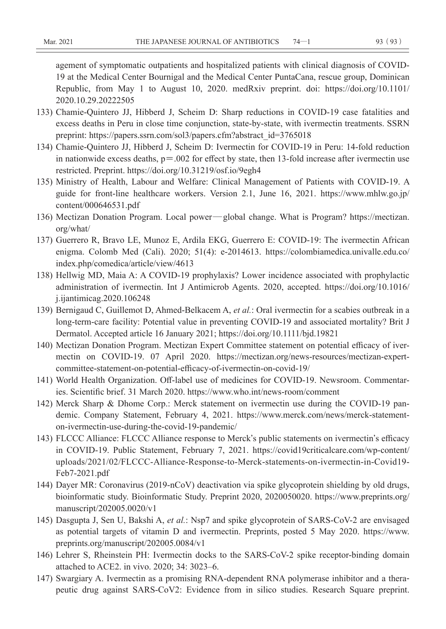agement of symptomatic outpatients and hospitalized patients with clinical diagnosis of COVID-19 at the Medical Center Bournigal and the Medical Center PuntaCana, rescue group, Dominican Republic, from May 1 to August 10, 2020. medRxiv preprint. doi: https://doi.org/10.1101/ 2020.10.29.20222505

- 133) Chamie-Quintero JJ, Hibberd J, Scheim D: Sharp reductions in COVID-19 case fatalities and excess deaths in Peru in close time conjunction, state-by-state, with ivermectin treatments. SSRN preprint: https://papers.ssrn.com/sol3/papers.cfm?abstract\_id=3765018
- 134) Chamie-Quintero JJ, Hibberd J, Scheim D: Ivermectin for COVID-19 in Peru: 14-fold reduction in nationwide excess deaths,  $p = .002$  for effect by state, then 13-fold increase after ivermectin use restricted. Preprint. https://doi.org/10.31219/osf.io/9egh4
- 135) Ministry of Health, Labour and Welfare: Clinical Management of Patients with COVID-19. A guide for front-line healthcare workers. Version 2.1, June 16, 2021. https://www.mhlw.go.jp/ content/000646531.pdf
- 136) Mectizan Donation Program. Local power—global change. What is Program? https://mectizan. org/what/
- 137) Guerrero R, Bravo LE, Munoz E, Ardila EKG, Guerrero E: COVID-19: The ivermectin African enigma. Colomb Med (Cali). 2020; 51(4): e-2014613. https://colombiamedica.univalle.edu.co/ index.php/comedica/article/view/4613
- 138) Hellwig MD, Maia A: A COVID-19 prophylaxis? Lower incidence associated with prophylactic administration of ivermectin. Int J Antimicrob Agents. 2020, accepted. https://doi.org/10.1016/ j.ijantimicag.2020.106248
- 139) Bernigaud C, Guillemot D, Ahmed-Belkacem A, *et al.*: Oral ivermectin for a scabies outbreak in a long-term-care facility: Potential value in preventing COVID-19 and associated mortality? Brit J Dermatol. Accepted article 16 January 2021; https://doi.org/10.1111/bjd.19821
- 140) Mectizan Donation Program. Mectizan Expert Committee statement on potential efficacy of ivermectin on COVID-19. 07 April 2020. https://mectizan.org/news-resources/mectizan-expertcommittee-statement-on-potential-efficacy-of-ivermectin-on-covid-19/
- 141) World Health Organization. Off-label use of medicines for COVID-19. Newsroom. Commentaries. Scientific brief. 31 March 2020. https://www.who.int/news-room/comment
- 142) Merck Sharp & Dhome Corp.: Merck statement on ivermectin use during the COVID-19 pandemic. Company Statement, February 4, 2021. https://www.merck.com/news/merck-statementon-ivermectin-use-during-the-covid-19-pandemic/
- 143) FLCCC Alliance: FLCCC Alliance response to Merck**'**s public statements on ivermectin**'**s efficacy in COVID-19. Public Statement, February 7, 2021. https://covid19criticalcare.com/wp-content/ uploads/2021/02/FLCCC-Alliance-Response-to-Merck-statements-on-ivermectin-in-Covid19- Feb7-2021.pdf
- 144) Dayer MR: Coronavirus (2019-nCoV) deactivation via spike glycoprotein shielding by old drugs, bioinformatic study. Bioinformatic Study. Preprint 2020, 2020050020. https://www.preprints.org/ manuscript/202005.0020/v1
- 145) Dasgupta J, Sen U, Bakshi A, *et al.*: Nsp7 and spike glycoprotein of SARS-CoV-2 are envisaged as potential targets of vitamin D and ivermectin. Preprints, posted 5 May 2020. https://www. preprints.org/manuscript/202005.0084/v1
- 146) Lehrer S, Rheinstein PH: Ivermectin docks to the SARS-CoV-2 spike receptor-binding domain attached to ACE2. in vivo. 2020; 34: 3023–6.
- 147) Swargiary A. Ivermectin as a promising RNA-dependent RNA polymerase inhibitor and a therapeutic drug against SARS-CoV2: Evidence from in silico studies. Research Square preprint.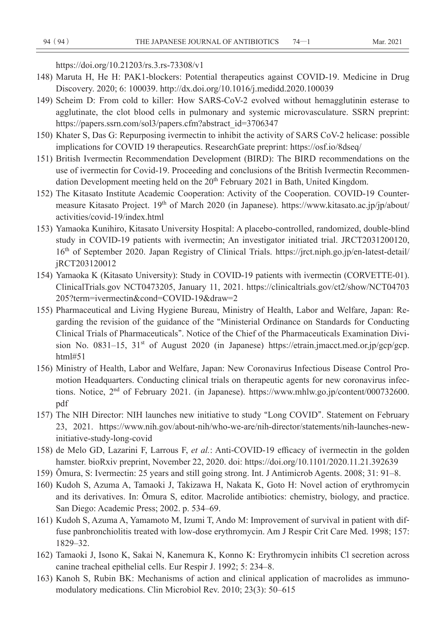https://doi.org/10.21203/rs.3.rs-73308/v1

- 148) Maruta H, He H: PAK1-blockers: Potential therapeutics against COVID-19. Medicine in Drug Discovery. 2020; 6: 100039. http://dx.doi.org/10.1016/j.medidd.2020.100039
- 149) Scheim D: From cold to killer: How SARS-CoV-2 evolved without hemagglutinin esterase to agglutinate, the clot blood cells in pulmonary and systemic microvasculature. SSRN preprint: https://papers.ssrn.com/sol3/papers.cfm?abstract\_id=3706347
- 150) Khater S, Das G: Repurposing ivermectin to inhibit the activity of SARS CoV-2 helicase: possible implications for COVID 19 therapeutics. ResearchGate preprint: https://osf.io/8dseq/
- 151) British Ivermectin Recommendation Development (BIRD): The BIRD recommendations on the use of ivermectin for Covid-19. Proceeding and conclusions of the British Ivermectin Recommendation Development meeting held on the  $20<sup>th</sup>$  February 2021 in Bath, United Kingdom.
- 152) The Kitasato Institute Academic Cooperation: Activity of the Cooperation. COVID-19 Countermeasure Kitasato Project. 19<sup>th</sup> of March 2020 (in Japanese). https://www.kitasato.ac.jp/jp/about/ activities/covid-19/index.html
- 153) Yamaoka Kunihiro, Kitasato University Hospital: A placebo-controlled, randomized, double-blind study in COVID-19 patients with ivermectin; An investigator initiated trial. JRCT2031200120, 16th of September 2020. Japan Registry of Clinical Trials. https://jrct.niph.go.jp/en-latest-detail/ jRCT203120012
- 154) Yamaoka K (Kitasato University): Study in COVID-19 patients with ivermectin (CORVETTE-01). ClinicalTrials.gov NCT0473205, January 11, 2021. https://clinicaltrials.gov/ct2/show/NCT04703 205?term=ivermectin&cond=COVID-19&draw=2
- 155) Pharmaceutical and Living Hygiene Bureau, Ministry of Health, Labor and Welfare, Japan: Regarding the revision of the guidance of the **"**Ministerial Ordinance on Standards for Conducting Clinical Trials of Pharmaceuticals**"**. Notice of the Chief of the Pharmaceuticals Examination Division No. 0831-15, 31<sup>st</sup> of August 2020 (in Japanese) https://etrain.jmacct.med.or.jp/gcp/gcp. html#51
- 156) Ministry of Health, Labor and Welfare, Japan: New Coronavirus Infectious Disease Control Promotion Headquarters. Conducting clinical trials on therapeutic agents for new coronavirus infections. Notice, 2<sup>nd</sup> of February 2021. (in Japanese). https://www.mhlw.go.jp/content/000732600. pdf
- 157) The NIH Director: NIH launches new initiative to study **"**Long COVID**"**. Statement on February 23, 2021. https://www.nih.gov/about-nih/who-we-are/nih-director/statements/nih-launches-newinitiative-study-long-covid
- 158) de Melo GD, Lazarini F, Larrous F, *et al.*: Anti-COVID-19 efficacy of ivermectin in the golden hamster. bioRxiv preprint, November 22, 2020. doi: https://doi.org/10.1101/2020.11.21.392639
- 159) **Ō**mura, S: Ivermectin: 25 years and still going strong. Int. J Antimicrob Agents. 2008; 31: 91–8.
- 160) Kudoh S, Azuma A, Tamaoki J, Takizawa H, Nakata K, Goto H: Novel action of erythromycin and its derivatives. In: Ōmura S, editor. Macrolide antibiotics: chemistry, biology, and practice. San Diego: Academic Press; 2002. p. 534–69.
- 161) Kudoh S, Azuma A, Yamamoto M, Izumi T, Ando M: Improvement of survival in patient with diffuse panbronchiolitis treated with low-dose erythromycin. Am J Respir Crit Care Med. 1998; 157: 1829–32.
- 162) Tamaoki J, Isono K, Sakai N, Kanemura K, Konno K: Erythromycin inhibits Cl secretion across canine tracheal epithelial cells. Eur Respir J. 1992; 5: 234–8.
- 163) Kanoh S, Rubin BK: Mechanisms of action and clinical application of macrolides as immunomodulatory medications. Clin Microbiol Rev. 2010; 23(3): 50–615